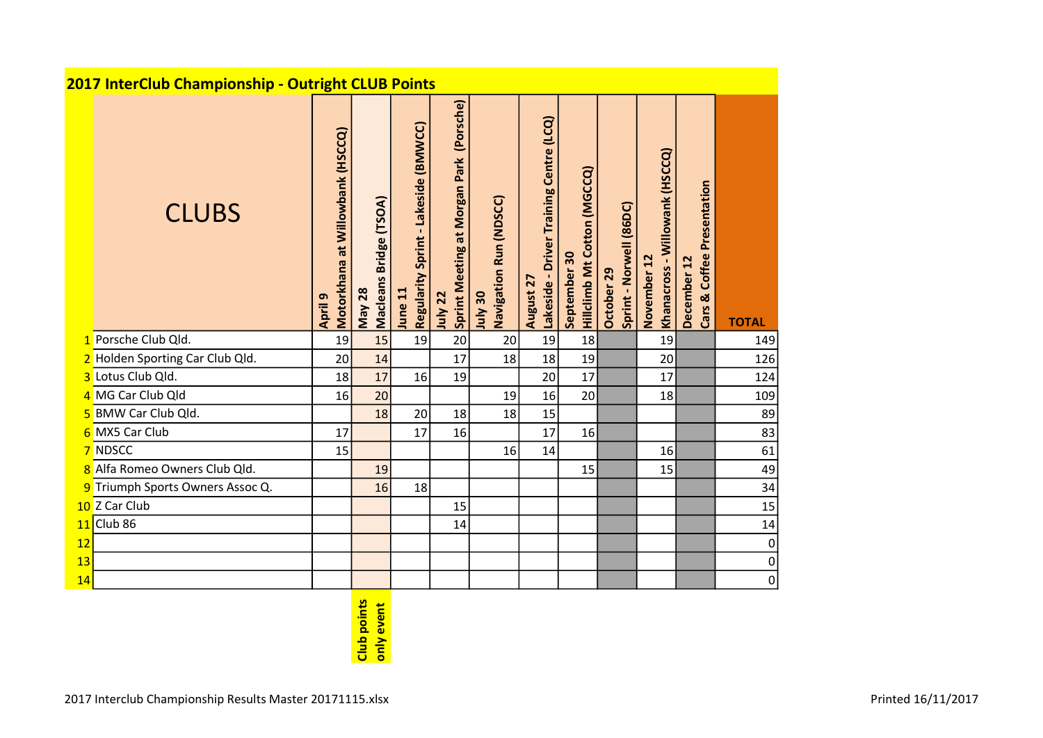|                                 | 2017 InterClub Championship - Outright CLUB Points |                                             |                                  |                                                 |                                                       |                                   |                                                      |                                                    |                                       |                                               |                                              |                |  |
|---------------------------------|----------------------------------------------------|---------------------------------------------|----------------------------------|-------------------------------------------------|-------------------------------------------------------|-----------------------------------|------------------------------------------------------|----------------------------------------------------|---------------------------------------|-----------------------------------------------|----------------------------------------------|----------------|--|
|                                 | <b>CLUBS</b>                                       | Motorkhana at Willowbank (HSCCQ)<br>April 9 | Macleans Bridge (TSOA)<br>May 28 | Regularity Sprint - Lakeside (BMWCC)<br>June 11 | (Porsche)<br>Sprint Meeting at Morgan Park<br>July 22 | Navigation Run (NDSCC)<br>05 VInt | August 27<br>Lakeside - Driver Training Centre (LCQ) | <b>Hillclimb Mt Cotton (MGCCQ)</b><br>September 30 | October 29<br>Sprint - Norwell (86DC) | Khanacross - Willowank (HSCCQ)<br>November 12 | & Coffee Presentation<br>December 12<br>Cars | <b>TOTAL</b>   |  |
| 1 Porsche Club Qld.             |                                                    | 19                                          | 15                               | 19                                              | 20                                                    | 20                                | 19                                                   | 18                                                 |                                       | 19                                            |                                              | 149            |  |
| 2 Holden Sporting Car Club Qld. |                                                    | 20                                          | 14                               |                                                 | 17                                                    | 18                                | 18                                                   | 19                                                 |                                       | 20                                            |                                              | 126            |  |
| 3 Lotus Club Qld.               |                                                    | 18                                          | 17                               | 16                                              | 19                                                    |                                   | 20                                                   | 17                                                 |                                       | 17                                            |                                              | 124            |  |
| 4 MG Car Club Qld               |                                                    | 16                                          | 20                               |                                                 |                                                       | 19                                | 16                                                   | 20                                                 |                                       | 18                                            |                                              | 109            |  |
| 5 BMW Car Club Qld.             |                                                    |                                             | 18                               | 20                                              | 18                                                    | 18                                | 15                                                   |                                                    |                                       |                                               |                                              | 89             |  |
| 6 MX5 Car Club                  |                                                    | 17                                          |                                  | 17                                              | 16                                                    |                                   | 17                                                   | 16                                                 |                                       |                                               |                                              | 83             |  |
| 7 NDSCC                         |                                                    | 15                                          |                                  |                                                 |                                                       | 16                                | 14                                                   |                                                    |                                       | 16                                            |                                              | 61             |  |
| 8 Alfa Romeo Owners Club Qld.   |                                                    |                                             | 19                               |                                                 |                                                       |                                   |                                                      | 15                                                 |                                       | 15                                            |                                              | 49             |  |
|                                 | 9 Triumph Sports Owners Assoc Q.                   |                                             | 16                               | 18                                              |                                                       |                                   |                                                      |                                                    |                                       |                                               |                                              | 34             |  |
| 10 Z Car Club                   |                                                    |                                             |                                  |                                                 | 15                                                    |                                   |                                                      |                                                    |                                       |                                               |                                              | 15             |  |
| $11$ Club 86                    |                                                    |                                             |                                  |                                                 | 14                                                    |                                   |                                                      |                                                    |                                       |                                               |                                              | 14             |  |
| 12                              |                                                    |                                             |                                  |                                                 |                                                       |                                   |                                                      |                                                    |                                       |                                               |                                              | 0              |  |
| 13                              |                                                    |                                             |                                  |                                                 |                                                       |                                   |                                                      |                                                    |                                       |                                               |                                              | 0              |  |
| 14                              |                                                    |                                             |                                  |                                                 |                                                       |                                   |                                                      |                                                    |                                       |                                               |                                              | $\overline{0}$ |  |

## Club points<br>only event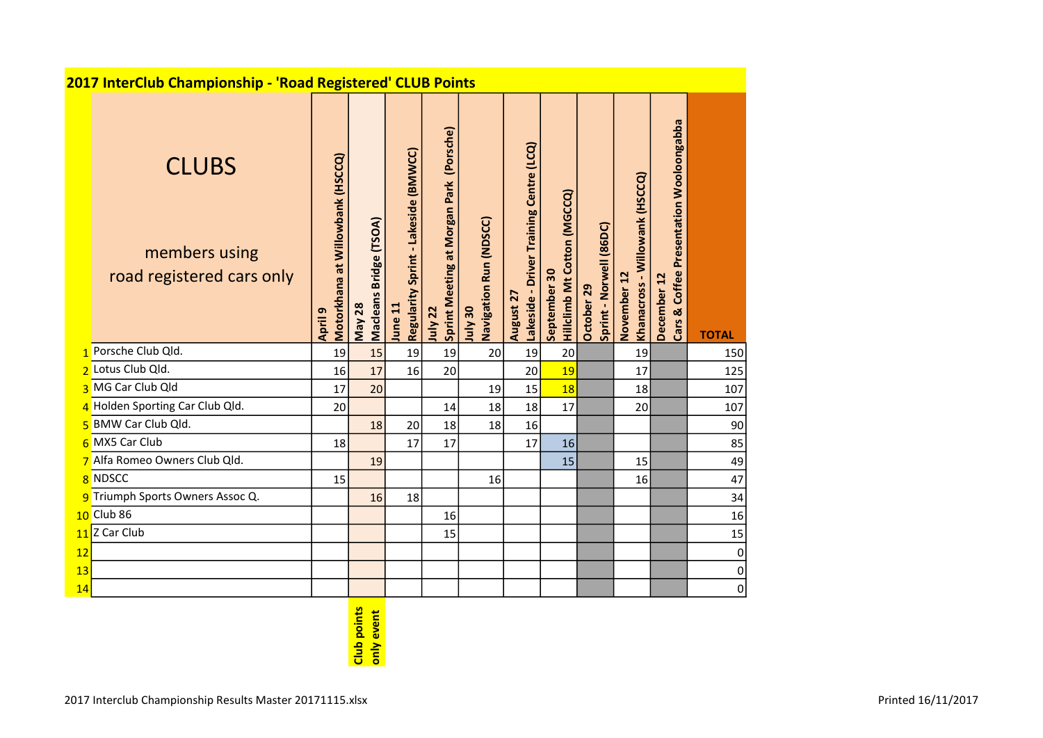|          | 2017 InterClub Championship - 'Road Registered' CLUB Points |                                             |                                            |                                                 |                                                    |                                          |                                                                   |                                                    |                                       |                                                 |                                                        |               |  |
|----------|-------------------------------------------------------------|---------------------------------------------|--------------------------------------------|-------------------------------------------------|----------------------------------------------------|------------------------------------------|-------------------------------------------------------------------|----------------------------------------------------|---------------------------------------|-------------------------------------------------|--------------------------------------------------------|---------------|--|
|          | <b>CLUBS</b><br>members using<br>road registered cars only  | Motorkhana at Willowbank (HSCCQ)<br>April 9 | Bridge (TSOA)<br>Macleans<br><b>May 28</b> | Regularity Sprint - Lakeside (BMWCC)<br>June 11 | Sprint Meeting at Morgan Park (Porsche)<br>July 22 | Navigation Run (NDSCC)<br><b>OE</b> AInr | Training Centre (LCQ)<br><b>Driver</b><br>Lakeside -<br>August 27 | <b>Hillclimb Mt Cotton (MGCCQ)</b><br>September 30 | Sprint - Norwell (86DC)<br>October 29 | Willowank (HSCCQ)<br>November 12<br>Khanacross- | Cars & Coffee Presentation Wooloongabba<br>December 12 | <b>TOTAL</b>  |  |
|          | Porsche Club Qld.                                           | 19                                          | 15                                         | 19                                              | 19                                                 | 20                                       | 19                                                                | 20                                                 |                                       | 19                                              |                                                        | 150           |  |
|          | 2 Lotus Club Qld.                                           | 16                                          | 17                                         | 16                                              | 20                                                 |                                          | 20                                                                | 19                                                 |                                       | 17                                              |                                                        | 125           |  |
|          | 3 MG Car Club Qld                                           | 17                                          | 20                                         |                                                 |                                                    | 19                                       | 15                                                                | 18                                                 |                                       | 18                                              |                                                        | 107           |  |
|          | 4 Holden Sporting Car Club Qld.                             | 20                                          |                                            |                                                 | 14                                                 | 18                                       | 18                                                                | 17                                                 |                                       | 20                                              |                                                        | 107           |  |
|          | 5 BMW Car Club Qld.                                         |                                             | 18                                         | 20                                              | 18                                                 | 18                                       | 16                                                                |                                                    |                                       |                                                 |                                                        | 90            |  |
|          | 6 MX5 Car Club                                              | 18                                          |                                            | 17                                              | 17                                                 |                                          | 17                                                                | 16                                                 |                                       |                                                 |                                                        | 85            |  |
|          | 7 Alfa Romeo Owners Club Qld.                               |                                             | 19                                         |                                                 |                                                    |                                          |                                                                   | 15                                                 |                                       | 15                                              |                                                        | 49            |  |
|          | 8 NDSCC                                                     | 15                                          |                                            |                                                 |                                                    | 16                                       |                                                                   |                                                    |                                       | 16                                              |                                                        | 47            |  |
|          | 9 Triumph Sports Owners Assoc Q.<br>$10$ Club 86            |                                             | 16                                         | 18                                              |                                                    |                                          |                                                                   |                                                    |                                       |                                                 |                                                        | 34            |  |
|          | Z Car Club                                                  |                                             |                                            |                                                 | 16                                                 |                                          |                                                                   |                                                    |                                       |                                                 |                                                        | 16            |  |
| 11       |                                                             |                                             |                                            |                                                 | 15                                                 |                                          |                                                                   |                                                    |                                       |                                                 |                                                        | 15            |  |
| 12<br>13 |                                                             |                                             |                                            |                                                 |                                                    |                                          |                                                                   |                                                    |                                       |                                                 |                                                        | 0             |  |
| 14       |                                                             |                                             |                                            |                                                 |                                                    |                                          |                                                                   |                                                    |                                       |                                                 |                                                        | 0<br>$\Omega$ |  |
|          |                                                             |                                             |                                            |                                                 |                                                    |                                          |                                                                   |                                                    |                                       |                                                 |                                                        |               |  |

## Club points<br>only event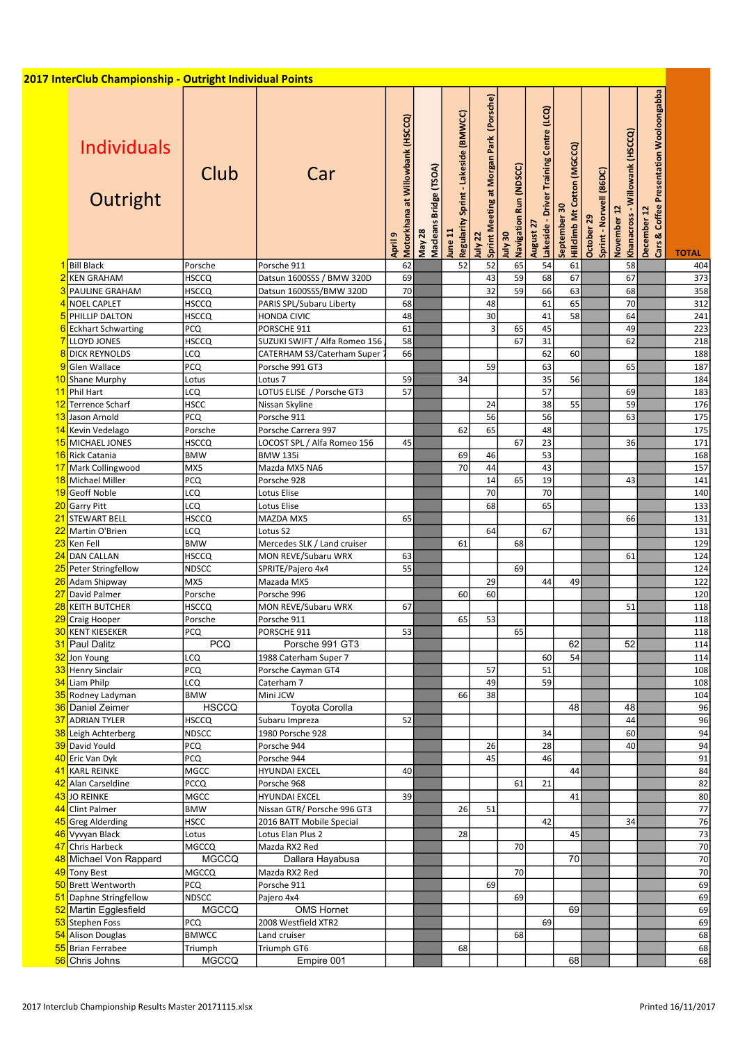| 2017 InterClub Championship - Outright Individual Points |                         |                                          |                                             |                                  |                                                 |                                                    |                                          |                                                      |                                            |                                       |                                                         |                                                        |                 |
|----------------------------------------------------------|-------------------------|------------------------------------------|---------------------------------------------|----------------------------------|-------------------------------------------------|----------------------------------------------------|------------------------------------------|------------------------------------------------------|--------------------------------------------|---------------------------------------|---------------------------------------------------------|--------------------------------------------------------|-----------------|
| <b>Individuals</b><br>Outright                           | Club                    | Car                                      | Motorkhana at Willowbank (HSCCQ)<br>April 9 | Macleans Bridge (TSOA)<br>May 28 | Regularity Sprint - Lakeside (BMWCC)<br>lune 11 | Sprint Meeting at Morgan Park (Porsche)<br>July 22 | Navigation Run (NDSCC)<br><b>OE</b> AInr | Lakeside - Driver Training Centre (LCQ)<br>August 27 | Hilldimb Mt Cotton (MGCCQ)<br>September 30 | Sprint - Norwell (86DC)<br>October 29 | - Willowank (HSCCQ)<br>November 12<br><b>Khanacross</b> | Cars & Coffee Presentation Wooloongabba<br>December 12 | <b>TOTAL</b>    |
| 1 Bill Black<br>2 KEN GRAHAM                             | Porsche<br><b>HSCCQ</b> | Porsche 911<br>Datsun 1600SSS / BMW 320D | 62<br>69                                    |                                  | 52                                              | 52<br>$\overline{43}$                              | 65<br>59                                 | 54<br>68                                             | 61<br>67                                   |                                       | 58<br>67                                                |                                                        | 404<br>373      |
| <b>PAULINE GRAHAM</b>                                    | <b>HSCCQ</b>            | Datsun 1600SSS/BMW 320D                  | 70                                          |                                  |                                                 | $\overline{32}$                                    | 59                                       | 66                                                   | 63                                         |                                       | 68                                                      |                                                        | 358             |
| NOEL CAPLET                                              | <b>HSCCQ</b>            | PARIS SPL/Subaru Liberty                 | 68                                          |                                  |                                                 | 48                                                 |                                          | 61                                                   | 65                                         |                                       | 70                                                      |                                                        | 312             |
| 5 PHILLIP DALTON                                         | <b>HSCCQ</b>            | <b>HONDA CIVIC</b>                       | 48                                          |                                  |                                                 | 30                                                 |                                          | 41                                                   | 58                                         |                                       | 64                                                      |                                                        | 241             |
| 6 Eckhart Schwarting                                     | <b>PCQ</b>              | PORSCHE 911                              | 61                                          |                                  |                                                 | $\overline{3}$                                     | 65                                       | 45                                                   |                                            |                                       | 49                                                      |                                                        | 223             |
| LLOYD JONES                                              | <b>HSCCQ</b>            | SUZUKI SWIFT / Alfa Romeo 156            | 58                                          |                                  |                                                 |                                                    | 67                                       | 31                                                   |                                            |                                       | 62                                                      |                                                        | 218             |
| 8 DICK REYNOLDS                                          | LCQ                     | CATERHAM S3/Caterham Super               | 66                                          |                                  |                                                 |                                                    |                                          | 62                                                   | 60                                         |                                       |                                                         |                                                        | 188             |
| Glen Wallace                                             | PCQ                     | Porsche 991 GT3                          |                                             |                                  |                                                 | 59                                                 |                                          | 63                                                   |                                            |                                       | 65                                                      |                                                        | 187             |
| 10 Shane Murphy                                          | Lotus                   | Lotus 7                                  | 59                                          |                                  | 34                                              |                                                    |                                          | 35                                                   | 56                                         |                                       |                                                         |                                                        | 184             |
| 11 Phil Hart                                             | LCQ                     | LOTUS ELISE / Porsche GT3                | 57                                          |                                  |                                                 |                                                    |                                          | 57                                                   |                                            |                                       | 69                                                      |                                                        | 183             |
| 12 Terrence Scharf                                       | <b>HSCC</b>             | Nissan Skyline                           |                                             |                                  |                                                 | 24                                                 |                                          | 38                                                   | 55                                         |                                       | 59                                                      |                                                        | 176             |
| 13 Jason Arnold                                          | PCQ                     | Porsche 911                              |                                             |                                  |                                                 | 56                                                 |                                          | 56                                                   |                                            |                                       | 63                                                      |                                                        | 175             |
| 14 Kevin Vedelago                                        | Porsche                 | Porsche Carrera 997                      |                                             |                                  | 62                                              | 65                                                 |                                          | 48                                                   |                                            |                                       |                                                         |                                                        | 175             |
| 15 MICHAEL JONES                                         | HSCCQ                   | LOCOST SPL / Alfa Romeo 156              | 45                                          |                                  |                                                 |                                                    | 67                                       | 23                                                   |                                            |                                       | 36                                                      |                                                        | 171             |
| 16 Rick Catania                                          | <b>BMW</b>              | <b>BMW 135i</b>                          |                                             |                                  | 69                                              | 46                                                 |                                          | 53                                                   |                                            |                                       |                                                         |                                                        | 168             |
| 17 Mark Collingwood                                      | MX5                     | Mazda MX5 NA6                            |                                             |                                  | 70                                              | 44                                                 |                                          | 43                                                   |                                            |                                       |                                                         |                                                        | 157             |
| 18 Michael Miller                                        | PCQ                     | Porsche 928                              |                                             |                                  |                                                 | 14                                                 | 65                                       | 19                                                   |                                            |                                       | 43                                                      |                                                        | 141             |
| 19 Geoff Noble                                           | LCQ                     | Lotus Elise                              |                                             |                                  |                                                 | 70<br>68                                           |                                          | 70<br>65                                             |                                            |                                       |                                                         |                                                        | 140<br>133      |
| 20 Garry Pitt<br>21 STEWART BELL                         | LCQ<br><b>HSCCQ</b>     | Lotus Elise<br>MAZDA MX5                 | 65                                          |                                  |                                                 |                                                    |                                          |                                                      |                                            |                                       | 66                                                      |                                                        | 131             |
| 22 Martin O'Brien                                        | LCQ                     | Lotus S2                                 |                                             |                                  |                                                 | 64                                                 |                                          | 67                                                   |                                            |                                       |                                                         |                                                        | 131             |
| 23 Ken Fell                                              | <b>BMW</b>              | Mercedes SLK / Land cruiser              |                                             |                                  | 61                                              |                                                    | 68                                       |                                                      |                                            |                                       |                                                         |                                                        | 129             |
| 24 DAN CALLAN                                            | <b>HSCCQ</b>            | MON REVE/Subaru WRX                      | 63                                          |                                  |                                                 |                                                    |                                          |                                                      |                                            |                                       | 61                                                      |                                                        | 124             |
| 25 Peter Stringfellow                                    | <b>NDSCC</b>            | SPRITE/Pajero 4x4                        | 55                                          |                                  |                                                 |                                                    | 69                                       |                                                      |                                            |                                       |                                                         |                                                        | 124             |
| 26 Adam Shipway                                          | MX5                     | Mazada MX5                               |                                             |                                  |                                                 | 29                                                 |                                          | 44                                                   | 49                                         |                                       |                                                         |                                                        | 122             |
| 27 David Palmer                                          | Porsche                 | Porsche 996                              |                                             |                                  | 60                                              | 60                                                 |                                          |                                                      |                                            |                                       |                                                         |                                                        | 120             |
| <b>KEITH BUTCHER</b>                                     | HSCCQ                   | MON REVE/Subaru WRX                      | 67                                          |                                  |                                                 |                                                    |                                          |                                                      |                                            |                                       | 51                                                      |                                                        | 118             |
| 29 Craig Hooper                                          | Porsche                 | Porsche 911                              |                                             |                                  | 65                                              | 53                                                 |                                          |                                                      |                                            |                                       |                                                         |                                                        | 118             |
| <b>30 KENT KIESEKER</b>                                  | <b>PCQ</b>              | PORSCHE 911                              | 53                                          |                                  |                                                 |                                                    | 65                                       |                                                      |                                            |                                       |                                                         |                                                        | 118             |
| 31 Paul Dalitz                                           | <b>PCQ</b>              | Porsche 991 GT3                          |                                             |                                  |                                                 |                                                    |                                          |                                                      | 62                                         |                                       | 52                                                      |                                                        | 114             |
| 32 Jon Young                                             | LCQ                     | 1988 Caterham Super 7                    |                                             |                                  |                                                 |                                                    |                                          | 60                                                   | 54                                         |                                       |                                                         |                                                        | 114             |
| 33 Henry Sinclair                                        | <b>PCQ</b>              | Porsche Cayman GT4                       |                                             |                                  |                                                 | 57                                                 |                                          | 51                                                   |                                            |                                       |                                                         |                                                        | 108             |
| 34 Liam Philp                                            | LCQ                     | Caterham 7                               |                                             |                                  |                                                 | 49                                                 |                                          | 59                                                   |                                            |                                       |                                                         |                                                        | 108             |
| 35 Rodney Ladyman                                        | <b>BMW</b>              | Mini JCW                                 |                                             |                                  | 66                                              | 38                                                 |                                          |                                                      |                                            |                                       |                                                         |                                                        | 104             |
| 36 Daniel Zeimer                                         | <b>HSCCQ</b>            | Toyota Corolla                           |                                             |                                  |                                                 |                                                    |                                          |                                                      | 48                                         |                                       | 48                                                      |                                                        | 96              |
| 37 ADRIAN TYLER                                          | <b>HSCCQ</b>            | Subaru Impreza                           | 52                                          |                                  |                                                 |                                                    |                                          |                                                      |                                            |                                       | 44                                                      |                                                        | 96              |
| 38 Leigh Achterberg<br>39 David Yould                    | <b>NDSCC</b><br>PCQ     | 1980 Porsche 928<br>Porsche 944          |                                             |                                  |                                                 | 26                                                 |                                          | 34<br>28                                             |                                            |                                       | 60<br>40                                                |                                                        | 94<br>94        |
| 40 Eric Van Dyk                                          | <b>PCQ</b>              | Porsche 944                              |                                             |                                  |                                                 | 45                                                 |                                          | 46                                                   |                                            |                                       |                                                         |                                                        | 91              |
| 41 KARL REINKE                                           | <b>MGCC</b>             | <b>HYUNDAI EXCEL</b>                     | 40                                          |                                  |                                                 |                                                    |                                          |                                                      | 44                                         |                                       |                                                         |                                                        | 84              |
| 42 Alan Carseldine                                       | <b>PCCQ</b>             | Porsche 968                              |                                             |                                  |                                                 |                                                    | 61                                       | 21                                                   |                                            |                                       |                                                         |                                                        | 82              |
| 43 JO REINKE                                             | <b>MGCC</b>             | <b>HYUNDAI EXCEL</b>                     | 39                                          |                                  |                                                 |                                                    |                                          |                                                      | 41                                         |                                       |                                                         |                                                        | 80              |
| 44 Clint Palmer                                          | <b>BMW</b>              | Nissan GTR/ Porsche 996 GT3              |                                             |                                  | 26                                              | 51                                                 |                                          |                                                      |                                            |                                       |                                                         |                                                        | $\overline{77}$ |
| 45 Greg Alderding                                        | <b>HSCC</b>             | 2016 BATT Mobile Special                 |                                             |                                  |                                                 |                                                    |                                          | 42                                                   |                                            |                                       | 34                                                      |                                                        | 76              |
| 46 Vyvyan Black                                          | Lotus                   | Lotus Elan Plus 2                        |                                             |                                  | 28                                              |                                                    |                                          |                                                      | 45                                         |                                       |                                                         |                                                        | 73              |
| 47 Chris Harbeck                                         | MGCCQ                   | Mazda RX2 Red                            |                                             |                                  |                                                 |                                                    | 70                                       |                                                      |                                            |                                       |                                                         |                                                        | 70              |
| 48 Michael Von Rappard                                   | <b>MGCCQ</b>            | Dallara Hayabusa                         |                                             |                                  |                                                 |                                                    |                                          |                                                      | 70                                         |                                       |                                                         |                                                        | 70              |
| 49 Tony Best                                             | MGCCQ                   | Mazda RX2 Red                            |                                             |                                  |                                                 |                                                    | 70                                       |                                                      |                                            |                                       |                                                         |                                                        | 70              |
| 50 Brett Wentworth                                       | <b>PCQ</b>              | Porsche 911                              |                                             |                                  |                                                 | 69                                                 |                                          |                                                      |                                            |                                       |                                                         |                                                        | 69              |
| 51 Daphne Stringfellow                                   | NDSCC                   | Pajero 4x4                               |                                             |                                  |                                                 |                                                    | 69                                       |                                                      |                                            |                                       |                                                         |                                                        | 69              |
| 52 Martin Egglesfield                                    | <b>MGCCQ</b>            | <b>OMS Hornet</b>                        |                                             |                                  |                                                 |                                                    |                                          |                                                      | 69                                         |                                       |                                                         |                                                        | 69              |
| 53 Stephen Foss                                          | <b>PCQ</b>              | 2008 Westfield XTR2                      |                                             |                                  |                                                 |                                                    |                                          | 69                                                   |                                            |                                       |                                                         |                                                        | 69              |
| 54 Alison Douglas                                        | <b>BMWCC</b>            | Land cruiser                             |                                             |                                  |                                                 |                                                    | 68                                       |                                                      |                                            |                                       |                                                         |                                                        | 68              |
| 55 Brian Ferrabee                                        | Triumph                 | Triumph GT6                              |                                             |                                  | 68                                              |                                                    |                                          |                                                      |                                            |                                       |                                                         |                                                        | 68              |
| 56 Chris Johns                                           | <b>MGCCQ</b>            | Empire 001                               |                                             |                                  |                                                 |                                                    |                                          |                                                      | 68                                         |                                       |                                                         |                                                        | 68              |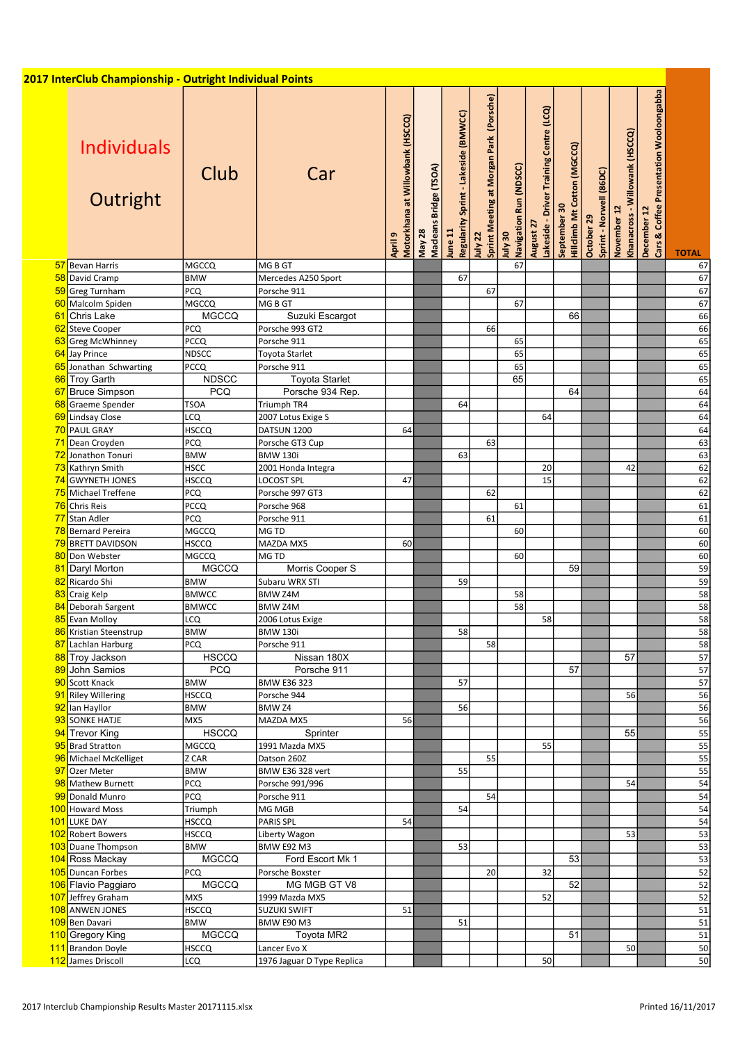|                 | 2017 InterClub Championship - Outright Individual Points |              |                            |                                             |                                  |                                                 |                                                    |                                   |                                                         |                                             |                                       |                                                  |                                                        |                 |
|-----------------|----------------------------------------------------------|--------------|----------------------------|---------------------------------------------|----------------------------------|-------------------------------------------------|----------------------------------------------------|-----------------------------------|---------------------------------------------------------|---------------------------------------------|---------------------------------------|--------------------------------------------------|--------------------------------------------------------|-----------------|
|                 | <b>Individuals</b><br>Outright                           | Club         | Car                        | Motorkhana at Willowbank (HSCCQ)<br>April 9 | Macleans Bridge (TSOA)<br>May 28 | Regularity Sprint - Lakeside (BMWCC)<br>June 11 | Sprint Meeting at Morgan Park (Porsche)<br>July 22 | Navigation Run (NDSCC)<br>08 Vint | Training Centre (LCQ)<br>Lakeside - Driver<br>August 27 | Hillclimb Mt Cotton (MGCCQ)<br>September 30 | Sprint - Norwell (86DC)<br>October 29 | - Willowank (HSCCQ)<br>November 12<br>Khanacross | Cars & Coffee Presentation Wooloongabba<br>December 12 | <b>TOTAL</b>    |
|                 | 57 Bevan Harris                                          | MGCCQ        | MG B GT                    |                                             |                                  |                                                 |                                                    | 67                                |                                                         |                                             |                                       |                                                  |                                                        | 67              |
| 58              | David Cramp                                              | <b>BMW</b>   | Mercedes A250 Sport        |                                             |                                  | 67                                              |                                                    |                                   |                                                         |                                             |                                       |                                                  |                                                        | 67              |
| 59              | <b>Greg Turnham</b>                                      | PCQ          | Porsche 911                |                                             |                                  |                                                 | 67                                                 |                                   |                                                         |                                             |                                       |                                                  |                                                        | 67              |
|                 | 60 Malcolm Spiden                                        | <b>MGCCQ</b> | MG B GT                    |                                             |                                  |                                                 |                                                    | 67                                |                                                         |                                             |                                       |                                                  |                                                        | 67              |
| 61              | Chris Lake                                               | <b>MGCCQ</b> | Suzuki Escargot            |                                             |                                  |                                                 |                                                    |                                   |                                                         | 66                                          |                                       |                                                  |                                                        | 66              |
| 62              | <b>Steve Cooper</b>                                      | <b>PCQ</b>   | Porsche 993 GT2            |                                             |                                  |                                                 | 66                                                 |                                   |                                                         |                                             |                                       |                                                  |                                                        | 66              |
| 63              | <b>Greg McWhinney</b>                                    | <b>PCCQ</b>  | Porsche 911                |                                             |                                  |                                                 |                                                    | 65                                |                                                         |                                             |                                       |                                                  |                                                        | 65              |
|                 | 64 Jay Prince                                            | <b>NDSCC</b> | Toyota Starlet             |                                             |                                  |                                                 |                                                    | 65                                |                                                         |                                             |                                       |                                                  |                                                        | 65              |
|                 | 65 Jonathan Schwarting                                   | <b>PCCQ</b>  | Porsche 911                |                                             |                                  |                                                 |                                                    | 65                                |                                                         |                                             |                                       |                                                  |                                                        | 65              |
| 66              | <b>Troy Garth</b>                                        | <b>NDSCC</b> | <b>Toyota Starlet</b>      |                                             |                                  |                                                 |                                                    | 65                                |                                                         |                                             |                                       |                                                  |                                                        | 65              |
| 67              | <b>Bruce Simpson</b>                                     | <b>PCQ</b>   | Porsche 934 Rep.           |                                             |                                  |                                                 |                                                    |                                   |                                                         | 64                                          |                                       |                                                  |                                                        | 64              |
| 68              | Graeme Spender                                           | <b>TSOA</b>  | Triumph TR4                |                                             |                                  | 64                                              |                                                    |                                   |                                                         |                                             |                                       |                                                  |                                                        | 64              |
| 69              | <b>Lindsay Close</b>                                     | LCQ          | 2007 Lotus Exige S         |                                             |                                  |                                                 |                                                    |                                   | 64                                                      |                                             |                                       |                                                  |                                                        | 64              |
|                 | 70 PAUL GRAY                                             | <b>HSCCQ</b> | DATSUN 1200                | 64                                          |                                  |                                                 |                                                    |                                   |                                                         |                                             |                                       |                                                  |                                                        | 64              |
| 71              | Dean Croyden                                             | <b>PCQ</b>   | Porsche GT3 Cup            |                                             |                                  |                                                 | 63                                                 |                                   |                                                         |                                             |                                       |                                                  |                                                        | $\overline{63}$ |
|                 | 72 Jonathon Tonuri                                       | <b>BMW</b>   | <b>BMW 130i</b>            |                                             |                                  | 63                                              |                                                    |                                   |                                                         |                                             |                                       |                                                  |                                                        | 63              |
| 73              | Kathryn Smith                                            | <b>HSCC</b>  | 2001 Honda Integra         |                                             |                                  |                                                 |                                                    |                                   | 20                                                      |                                             |                                       | 42                                               |                                                        | 62              |
|                 | 74 GWYNETH JONES                                         | <b>HSCCQ</b> |                            |                                             |                                  |                                                 |                                                    |                                   | 15                                                      |                                             |                                       |                                                  |                                                        | 62              |
|                 |                                                          |              | <b>LOCOST SPL</b>          | 47                                          |                                  |                                                 |                                                    |                                   |                                                         |                                             |                                       |                                                  |                                                        |                 |
|                 | 75 Michael Treffene                                      | <b>PCQ</b>   | Porsche 997 GT3            |                                             |                                  |                                                 | 62                                                 |                                   |                                                         |                                             |                                       |                                                  |                                                        | 62              |
| 76              | Chris Reis                                               | <b>PCCQ</b>  | Porsche 968                |                                             |                                  |                                                 |                                                    | 61                                |                                                         |                                             |                                       |                                                  |                                                        | 61              |
| <u>771</u>      | Stan Adler                                               | <b>PCQ</b>   | Porsche 911                |                                             |                                  |                                                 | 61                                                 |                                   |                                                         |                                             |                                       |                                                  |                                                        | 61              |
|                 | 78 Bernard Pereira                                       | MGCCQ        | MG TD                      |                                             |                                  |                                                 |                                                    | 60                                |                                                         |                                             |                                       |                                                  |                                                        | 60              |
|                 | 79 BRETT DAVIDSON                                        | <b>HSCCQ</b> | MAZDA MX5                  | 60                                          |                                  |                                                 |                                                    |                                   |                                                         |                                             |                                       |                                                  |                                                        | 60              |
| 80 <sub>1</sub> | Don Webster                                              | <b>MGCCQ</b> | MG TD                      |                                             |                                  |                                                 |                                                    | 60                                |                                                         |                                             |                                       |                                                  |                                                        | 60              |
| 81              | Daryl Morton                                             | <b>MGCCQ</b> | Morris Cooper S            |                                             |                                  |                                                 |                                                    |                                   |                                                         | 59                                          |                                       |                                                  |                                                        | 59              |
|                 | 82 Ricardo Shi                                           | <b>BMW</b>   | Subaru WRX STI             |                                             |                                  | 59                                              |                                                    |                                   |                                                         |                                             |                                       |                                                  |                                                        | $\overline{59}$ |
| 83              | Craig Kelp                                               | <b>BMWCC</b> | BMW Z4M                    |                                             |                                  |                                                 |                                                    | 58                                |                                                         |                                             |                                       |                                                  |                                                        | 58              |
| 84              | Deborah Sargent                                          | <b>BMWCC</b> | BMW Z4M                    |                                             |                                  |                                                 |                                                    | 58                                |                                                         |                                             |                                       |                                                  |                                                        | 58              |
|                 | 85 Evan Molloy                                           | LCQ          | 2006 Lotus Exige           |                                             |                                  |                                                 |                                                    |                                   | 58                                                      |                                             |                                       |                                                  |                                                        | 58              |
|                 | 86 Kristian Steenstrup                                   | <b>BMW</b>   | <b>BMW 130i</b>            |                                             |                                  | 58                                              |                                                    |                                   |                                                         |                                             |                                       |                                                  |                                                        | 58              |
| 87              | Lachlan Harburg                                          | <b>PCQ</b>   | Porsche 911                |                                             |                                  |                                                 | 58                                                 |                                   |                                                         |                                             |                                       |                                                  |                                                        | $\overline{58}$ |
|                 | 88 Troy Jackson                                          | <b>HSCCQ</b> | Nissan 180X                |                                             |                                  |                                                 |                                                    |                                   |                                                         |                                             |                                       | 57                                               |                                                        | $\overline{57}$ |
|                 | 89 John Samios                                           | <b>PCQ</b>   | Porsche 911                |                                             |                                  |                                                 |                                                    |                                   |                                                         | 57                                          |                                       |                                                  |                                                        | 57              |
|                 | 90 Scott Knack                                           | <b>BMW</b>   | <b>BMW E36 323</b>         |                                             |                                  | 57                                              |                                                    |                                   |                                                         |                                             |                                       |                                                  |                                                        | 57              |
|                 | 91 Riley Willering                                       | <b>HSCCQ</b> | Porsche 944                |                                             |                                  |                                                 |                                                    |                                   |                                                         |                                             |                                       | 56                                               |                                                        | $\overline{56}$ |
|                 | 92 lan Hayllor                                           | <b>BMW</b>   | BMW <sub>Z4</sub>          |                                             |                                  | 56                                              |                                                    |                                   |                                                         |                                             |                                       |                                                  |                                                        | 56              |
|                 | 93 SONKE HATJE                                           | MX5          | MAZDA MX5                  | 56                                          |                                  |                                                 |                                                    |                                   |                                                         |                                             |                                       |                                                  |                                                        | 56              |
|                 | 94 Trevor King                                           | <b>HSCCQ</b> | Sprinter                   |                                             |                                  |                                                 |                                                    |                                   |                                                         |                                             |                                       | 55                                               |                                                        | 55              |
|                 | 95 Brad Stratton                                         | <b>MGCCQ</b> | 1991 Mazda MX5             |                                             |                                  |                                                 |                                                    |                                   | 55                                                      |                                             |                                       |                                                  |                                                        | 55              |
|                 | 96 Michael McKelliget                                    | Z CAR        | Datson 260Z                |                                             |                                  |                                                 | 55                                                 |                                   |                                                         |                                             |                                       |                                                  |                                                        | 55              |
|                 | 97 Ozer Meter                                            | <b>BMW</b>   | <b>BMW E36 328 vert</b>    |                                             |                                  | 55                                              |                                                    |                                   |                                                         |                                             |                                       |                                                  |                                                        | 55              |
|                 | 98 Mathew Burnett                                        | <b>PCQ</b>   | Porsche 991/996            |                                             |                                  |                                                 |                                                    |                                   |                                                         |                                             |                                       | 54                                               |                                                        | 54              |
|                 | 99 Donald Munro                                          | <b>PCQ</b>   | Porsche 911                |                                             |                                  |                                                 | 54                                                 |                                   |                                                         |                                             |                                       |                                                  |                                                        | 54              |
|                 | 100 Howard Moss                                          | Triumph      | MG MGB                     |                                             |                                  | 54                                              |                                                    |                                   |                                                         |                                             |                                       |                                                  |                                                        | $\overline{54}$ |
|                 |                                                          |              | PARIS SPL                  | 54                                          |                                  |                                                 |                                                    |                                   |                                                         |                                             |                                       |                                                  |                                                        | $\overline{54}$ |
|                 | 101 LUKE DAY                                             | <b>HSCCQ</b> |                            |                                             |                                  |                                                 |                                                    |                                   |                                                         |                                             |                                       |                                                  |                                                        |                 |
|                 | 102 Robert Bowers                                        | <b>HSCCQ</b> | Liberty Wagon              |                                             |                                  |                                                 |                                                    |                                   |                                                         |                                             |                                       | 53                                               |                                                        | 53              |
|                 | 103 Duane Thompson                                       | <b>BMW</b>   | <b>BMW E92 M3</b>          |                                             |                                  | 53                                              |                                                    |                                   |                                                         |                                             |                                       |                                                  |                                                        | 53              |
|                 | 104 Ross Mackay                                          | <b>MGCCQ</b> | Ford Escort Mk 1           |                                             |                                  |                                                 |                                                    |                                   |                                                         | 53                                          |                                       |                                                  |                                                        | 53              |
|                 | 105 Duncan Forbes                                        | <b>PCQ</b>   | Porsche Boxster            |                                             |                                  |                                                 | 20                                                 |                                   | 32                                                      |                                             |                                       |                                                  |                                                        | 52              |
|                 | 106 Flavio Paggiaro                                      | MGCCQ        | MG MGB GT V8               |                                             |                                  |                                                 |                                                    |                                   |                                                         | 52                                          |                                       |                                                  |                                                        | 52              |
|                 | 107 Jeffrey Graham                                       | MX5          | 1999 Mazda MX5             |                                             |                                  |                                                 |                                                    |                                   | 52                                                      |                                             |                                       |                                                  |                                                        | 52              |
|                 | 108 ANWEN JONES                                          | <b>HSCCQ</b> | <b>SUZUKI SWIFT</b>        | 51                                          |                                  |                                                 |                                                    |                                   |                                                         |                                             |                                       |                                                  |                                                        | 51              |
|                 | 109 Ben Davari                                           | <b>BMW</b>   | <b>BMW E90 M3</b>          |                                             |                                  | 51                                              |                                                    |                                   |                                                         |                                             |                                       |                                                  |                                                        | 51              |
|                 | 110 Gregory King                                         | <b>MGCCQ</b> | Toyota MR2                 |                                             |                                  |                                                 |                                                    |                                   |                                                         | 51                                          |                                       |                                                  |                                                        | 51              |
|                 | 111 Brandon Doyle                                        | <b>HSCCQ</b> | Lancer Evo X               |                                             |                                  |                                                 |                                                    |                                   |                                                         |                                             |                                       | 50                                               |                                                        | 50              |
|                 | 112 James Driscoll                                       | LCQ          | 1976 Jaguar D Type Replica |                                             |                                  |                                                 |                                                    |                                   | 50                                                      |                                             |                                       |                                                  |                                                        | 50              |
|                 |                                                          |              |                            |                                             |                                  |                                                 |                                                    |                                   |                                                         |                                             |                                       |                                                  |                                                        |                 |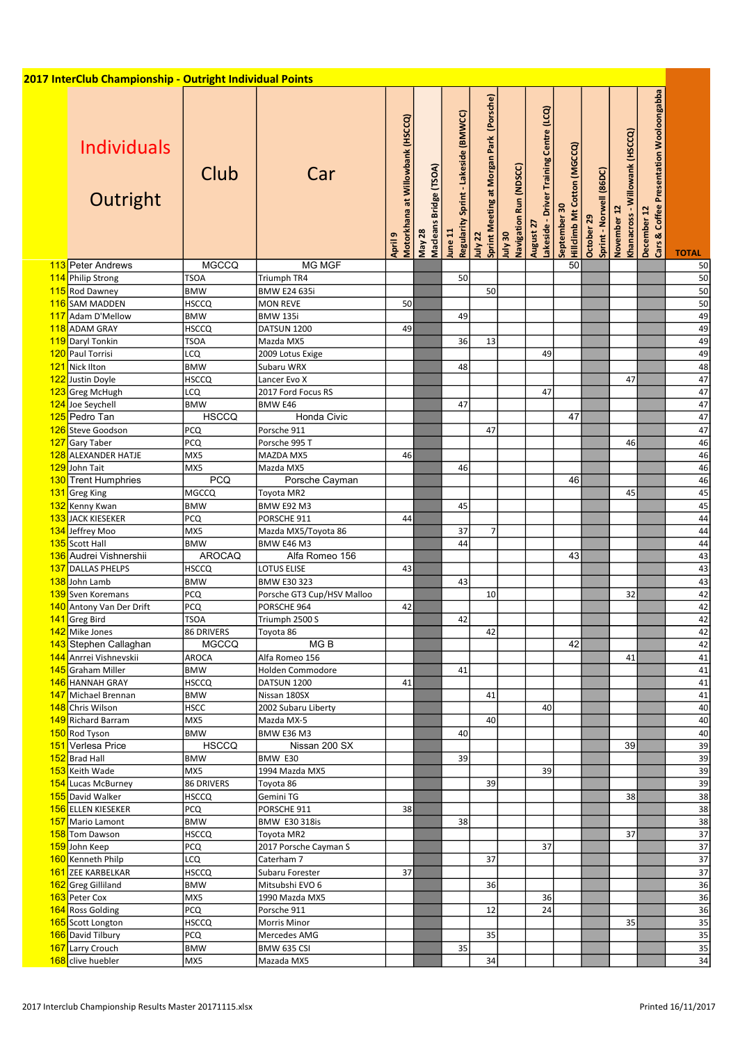| 2017 InterClub Championship - Outright Individual Points |               |                            |                                             |                                  |                                                 |                                                    |                                   |                                                      |                                                    |                                       |                                               |                                                        |                 |
|----------------------------------------------------------|---------------|----------------------------|---------------------------------------------|----------------------------------|-------------------------------------------------|----------------------------------------------------|-----------------------------------|------------------------------------------------------|----------------------------------------------------|---------------------------------------|-----------------------------------------------|--------------------------------------------------------|-----------------|
| <b>Individuals</b><br>Outright                           | Club          | Car                        | Motorkhana at Willowbank (HSCCQ)<br>April 9 | Macleans Bridge (TSOA)<br>May 28 | Regularity Sprint - Lakeside (BMWCC)<br>June 11 | Sprint Meeting at Morgan Park (Porsche)<br>July 22 | July 30<br>Navigation Run (NDSCC) | August 27<br>Lakeside - Driver Training Centre (LCQ) | <b>Hillclimb Mt Cotton (MGCCQ)</b><br>September 30 | Sprint - Norwell (86DC)<br>October 29 | Khanacross - Willowank (HSCCQ)<br>November 12 | December 12<br>Cars & Coffee Presentation Wooloongabba | <b>TOTAL</b>    |
| 113 Peter Andrews                                        | <b>MGCCQ</b>  | <b>MG MGF</b>              |                                             |                                  |                                                 |                                                    |                                   |                                                      | 50                                                 |                                       |                                               |                                                        | 50              |
| 114 Philip Strong                                        | <b>TSOA</b>   | Triumph TR4                |                                             |                                  | 50                                              |                                                    |                                   |                                                      |                                                    |                                       |                                               |                                                        | 50              |
| 115 Rod Dawney                                           | <b>BMW</b>    | <b>BMW E24 635i</b>        |                                             |                                  |                                                 | 50                                                 |                                   |                                                      |                                                    |                                       |                                               |                                                        | 50              |
| 116 SAM MADDEN                                           | <b>HSCCQ</b>  | <b>MON REVE</b>            | 50                                          |                                  |                                                 |                                                    |                                   |                                                      |                                                    |                                       |                                               |                                                        | 50              |
| 117 Adam D'Mellow                                        | <b>BMW</b>    | <b>BMW 135i</b>            |                                             |                                  | 49                                              |                                                    |                                   |                                                      |                                                    |                                       |                                               |                                                        | 49              |
| 118 ADAM GRAY                                            | <b>HSCCQ</b>  | DATSUN 1200                | 49                                          |                                  |                                                 |                                                    |                                   |                                                      |                                                    |                                       |                                               |                                                        | 49              |
| 119 Daryl Tonkin                                         | <b>TSOA</b>   | Mazda MX5                  |                                             |                                  | 36                                              | 13                                                 |                                   |                                                      |                                                    |                                       |                                               |                                                        | 49              |
| 120 Paul Torrisi                                         | LCQ           | 2009 Lotus Exige           |                                             |                                  |                                                 |                                                    |                                   | 49                                                   |                                                    |                                       |                                               |                                                        | 49              |
| 121 Nick Ilton                                           | <b>BMW</b>    | Subaru WRX                 |                                             |                                  | 48                                              |                                                    |                                   |                                                      |                                                    |                                       |                                               |                                                        | 48              |
| Justin Doyle                                             | <b>HSCCQ</b>  | Lancer Evo X               |                                             |                                  |                                                 |                                                    |                                   |                                                      |                                                    |                                       | 47                                            |                                                        | 47              |
| 123 Greg McHugh                                          | LCQ           | 2017 Ford Focus RS         |                                             |                                  |                                                 |                                                    |                                   | 47                                                   |                                                    |                                       |                                               |                                                        | $\overline{47}$ |
| 124 Joe Seychell                                         | <b>BMW</b>    | <b>BMW E46</b>             |                                             |                                  | 47                                              |                                                    |                                   |                                                      |                                                    |                                       |                                               |                                                        | 47              |
| 125 Pedro Tan                                            | <b>HSCCQ</b>  | Honda Civic                |                                             |                                  |                                                 |                                                    |                                   |                                                      | 47                                                 |                                       |                                               |                                                        | 47              |
| 126 Steve Goodson                                        | <b>PCQ</b>    | Porsche 911                |                                             |                                  |                                                 | 47                                                 |                                   |                                                      |                                                    |                                       |                                               |                                                        | 47              |
| 127 Gary Taber                                           | <b>PCQ</b>    |                            |                                             |                                  |                                                 |                                                    |                                   |                                                      |                                                    |                                       |                                               |                                                        | 46              |
| 128 ALEXANDER HATJE                                      | MX5           | Porsche 995 T<br>MAZDA MX5 |                                             |                                  |                                                 |                                                    |                                   |                                                      |                                                    |                                       | 46                                            |                                                        | 46              |
|                                                          |               |                            | 46                                          |                                  |                                                 |                                                    |                                   |                                                      |                                                    |                                       |                                               |                                                        |                 |
| 129 John Tait                                            | MX5           | Mazda MX5                  |                                             |                                  | 46                                              |                                                    |                                   |                                                      |                                                    |                                       |                                               |                                                        | 46              |
| 130 Trent Humphries                                      | PCQ           | Porsche Cayman             |                                             |                                  |                                                 |                                                    |                                   |                                                      | 46                                                 |                                       |                                               |                                                        | 46              |
| 131 Greg King                                            | MGCCQ         | Toyota MR2                 |                                             |                                  |                                                 |                                                    |                                   |                                                      |                                                    |                                       | 45                                            |                                                        | 45              |
| 132 Kenny Kwan                                           | <b>BMW</b>    | <b>BMW E92 M3</b>          |                                             |                                  | 45                                              |                                                    |                                   |                                                      |                                                    |                                       |                                               |                                                        | 45              |
| 133 JACK KIESEKER                                        | <b>PCQ</b>    | PORSCHE 911                | 44                                          |                                  |                                                 |                                                    |                                   |                                                      |                                                    |                                       |                                               |                                                        | $\overline{44}$ |
| 134 Jeffrey Moo                                          | MX5           | Mazda MX5/Toyota 86        |                                             |                                  | 37                                              | $\overline{7}$                                     |                                   |                                                      |                                                    |                                       |                                               |                                                        | 44              |
| 135 Scott Hall                                           | <b>BMW</b>    | BMW E46 M3                 |                                             |                                  | 44                                              |                                                    |                                   |                                                      |                                                    |                                       |                                               |                                                        | 44              |
| 136 Audrei Vishnershii                                   | <b>AROCAQ</b> | Alfa Romeo 156             |                                             |                                  |                                                 |                                                    |                                   |                                                      | 43                                                 |                                       |                                               |                                                        | 43              |
| 137 DALLAS PHELPS                                        | <b>HSCCQ</b>  | <b>LOTUS ELISE</b>         | 43                                          |                                  |                                                 |                                                    |                                   |                                                      |                                                    |                                       |                                               |                                                        | 43              |
| 138 John Lamb                                            | <b>BMW</b>    | <b>BMW E30 323</b>         |                                             |                                  | 43                                              |                                                    |                                   |                                                      |                                                    |                                       |                                               |                                                        | 43              |
| Sven Koremans                                            | <b>PCQ</b>    | Porsche GT3 Cup/HSV Malloo |                                             |                                  |                                                 | 10                                                 |                                   |                                                      |                                                    |                                       | 32                                            |                                                        | 42              |
| 140 Antony Van Der Drift                                 | PCQ           | PORSCHE 964                | 42                                          |                                  |                                                 |                                                    |                                   |                                                      |                                                    |                                       |                                               |                                                        | 42              |
| 141 Greg Bird                                            | <b>TSOA</b>   | Triumph 2500 S             |                                             |                                  | 42                                              |                                                    |                                   |                                                      |                                                    |                                       |                                               |                                                        | 42              |
| 142 Mike Jones                                           | 86 DRIVERS    | Toyota 86                  |                                             |                                  |                                                 | 42                                                 |                                   |                                                      |                                                    |                                       |                                               |                                                        | 42              |
| 143 Stephen Callaghan                                    | <b>MGCCQ</b>  | MGB                        |                                             |                                  |                                                 |                                                    |                                   |                                                      | 42                                                 |                                       |                                               |                                                        | 42              |
| 144 Anrrei Vishnevskii                                   | <b>AROCA</b>  | Alfa Romeo 156             |                                             |                                  |                                                 |                                                    |                                   |                                                      |                                                    |                                       | 41                                            |                                                        | 41              |
| 145 Graham Miller                                        | <b>BMW</b>    | Holden Commodore           |                                             |                                  | 41                                              |                                                    |                                   |                                                      |                                                    |                                       |                                               |                                                        | 41              |
| 146 HANNAH GRAY                                          | <b>HSCCQ</b>  | DATSUN 1200                | 41                                          |                                  |                                                 |                                                    |                                   |                                                      |                                                    |                                       |                                               |                                                        | 41              |
| 147 Michael Brennan                                      | <b>BMW</b>    | Nissan 180SX               |                                             |                                  |                                                 | 41                                                 |                                   |                                                      |                                                    |                                       |                                               |                                                        | 41              |
| 148 Chris Wilson                                         | <b>HSCC</b>   | 2002 Subaru Liberty        |                                             |                                  |                                                 |                                                    |                                   | 40                                                   |                                                    |                                       |                                               |                                                        | 40              |
| 149 Richard Barram                                       | MX5           | Mazda MX-5                 |                                             |                                  |                                                 | 40                                                 |                                   |                                                      |                                                    |                                       |                                               |                                                        | 40              |
| 150 Rod Tyson                                            | BMW           | <b>BMW E36 M3</b>          |                                             |                                  | 40                                              |                                                    |                                   |                                                      |                                                    |                                       |                                               |                                                        | 40              |
| 151 Verlesa Price                                        | <b>HSCCQ</b>  | Nissan 200 SX              |                                             |                                  |                                                 |                                                    |                                   |                                                      |                                                    |                                       | 39                                            |                                                        | 39              |
| 152 Brad Hall                                            | <b>BMW</b>    | BMW E30                    |                                             |                                  | 39                                              |                                                    |                                   |                                                      |                                                    |                                       |                                               |                                                        | 39              |
| 153 Keith Wade                                           | MX5           | 1994 Mazda MX5             |                                             |                                  |                                                 |                                                    |                                   | 39                                                   |                                                    |                                       |                                               |                                                        | 39              |
| 154 Lucas McBurney                                       | 86 DRIVERS    | Toyota 86                  |                                             |                                  |                                                 | 39                                                 |                                   |                                                      |                                                    |                                       |                                               |                                                        | 39              |
| 155 David Walker                                         | <b>HSCCQ</b>  | Gemini TG                  |                                             |                                  |                                                 |                                                    |                                   |                                                      |                                                    |                                       | 38                                            |                                                        | 38              |
| 156 ELLEN KIESEKER                                       | PCQ           | PORSCHE 911                | 38                                          |                                  |                                                 |                                                    |                                   |                                                      |                                                    |                                       |                                               |                                                        | 38              |
|                                                          |               |                            |                                             |                                  |                                                 |                                                    |                                   |                                                      |                                                    |                                       |                                               |                                                        | 38              |
| 157 Mario Lamont                                         | <b>BMW</b>    | <b>BMW E30 318is</b>       |                                             |                                  | 38                                              |                                                    |                                   |                                                      |                                                    |                                       |                                               |                                                        |                 |
| 158 Tom Dawson                                           | <b>HSCCQ</b>  | Toyota MR2                 |                                             |                                  |                                                 |                                                    |                                   |                                                      |                                                    |                                       | 37                                            |                                                        | 37              |
| 159 John Keep                                            | <b>PCQ</b>    | 2017 Porsche Cayman S      |                                             |                                  |                                                 |                                                    |                                   | 37                                                   |                                                    |                                       |                                               |                                                        | $\overline{37}$ |
| 160 Kenneth Philp                                        | <b>LCQ</b>    | Caterham 7                 |                                             |                                  |                                                 | 37                                                 |                                   |                                                      |                                                    |                                       |                                               |                                                        | 37              |
| 161 ZEE KARBELKAR                                        | <b>HSCCQ</b>  | Subaru Forester            | 37                                          |                                  |                                                 |                                                    |                                   |                                                      |                                                    |                                       |                                               |                                                        | 37              |
| 162 Greg Gilliland                                       | <b>BMW</b>    | Mitsubshi EVO 6            |                                             |                                  |                                                 | 36                                                 |                                   |                                                      |                                                    |                                       |                                               |                                                        | 36              |
| 163 Peter Cox                                            | MX5           | 1990 Mazda MX5             |                                             |                                  |                                                 |                                                    |                                   | 36                                                   |                                                    |                                       |                                               |                                                        | 36              |
| 164 Ross Golding                                         | PCQ           | Porsche 911                |                                             |                                  |                                                 | 12                                                 |                                   | 24                                                   |                                                    |                                       |                                               |                                                        | 36              |
| 165 Scott Longton                                        | <b>HSCCQ</b>  | Morris Minor               |                                             |                                  |                                                 |                                                    |                                   |                                                      |                                                    |                                       | 35                                            |                                                        | 35              |
| 166 David Tilbury                                        | <b>PCQ</b>    | Mercedes AMG               |                                             |                                  |                                                 | 35                                                 |                                   |                                                      |                                                    |                                       |                                               |                                                        | 35              |
| 167 Larry Crouch                                         | <b>BMW</b>    | BMW 635 CSI                |                                             |                                  | 35                                              |                                                    |                                   |                                                      |                                                    |                                       |                                               |                                                        | 35              |
| 168 clive huebler                                        | MX5           | Mazada MX5                 |                                             |                                  |                                                 | 34                                                 |                                   |                                                      |                                                    |                                       |                                               |                                                        | 34              |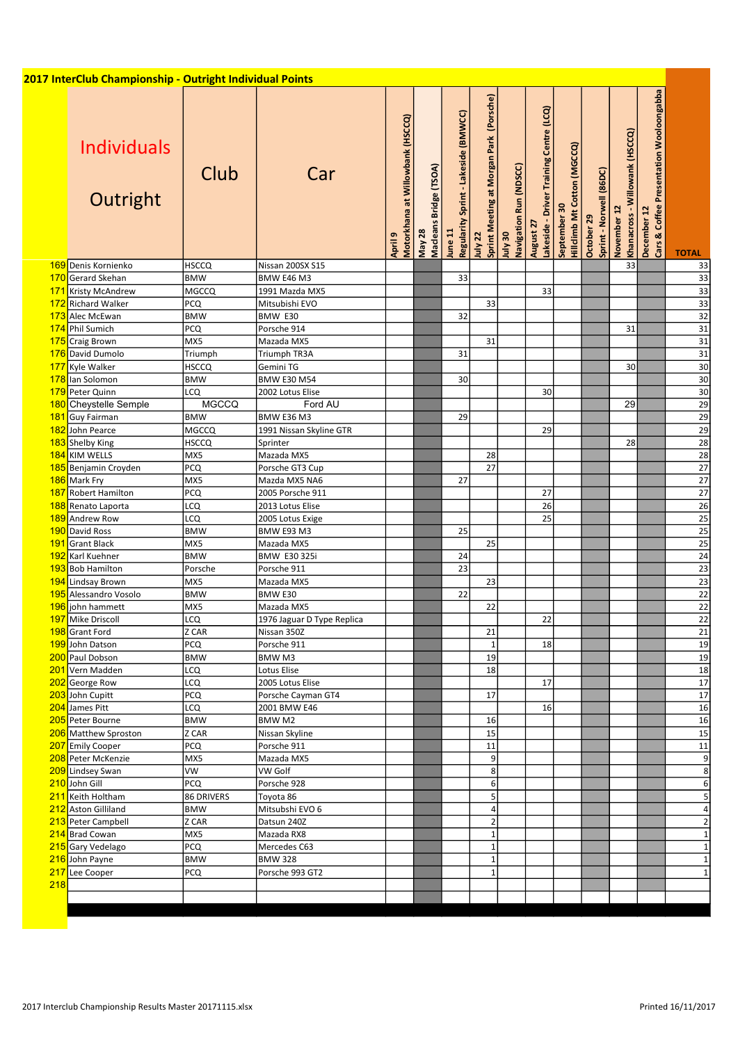| <b>Individuals</b><br>Outright        | <b>Club</b>       | Car                             | Motorkhana at Willowbank (HSCCQ)<br>თ<br>April | Macleans Bridge (TSOA)<br>May 28 | Regularity Sprint - Lakeside (BMWCC)<br>June 11 | Sprint Meeting at Morgan Park (Porsche)<br>July 22 | Navigation Run (NDSCC)<br>0 <sub>5</sub> Vlul | Lakeside - Driver Training Centre (LCQ)<br>August 27 | <b>Hilldimb Mt Cotton (MGCCQ)</b><br>September 30 | October 29<br>Sprint - Norwell (86DC) | Khanacross - Willowank (HSCCQ)<br>November 12 | Cars & Coffee Presentation Wooloongabba<br>December 12 | <b>TOTAL</b>          |
|---------------------------------------|-------------------|---------------------------------|------------------------------------------------|----------------------------------|-------------------------------------------------|----------------------------------------------------|-----------------------------------------------|------------------------------------------------------|---------------------------------------------------|---------------------------------------|-----------------------------------------------|--------------------------------------------------------|-----------------------|
| 169 Denis Kornienko                   | <b>HSCCQ</b>      | Nissan 200SX S15                |                                                |                                  |                                                 |                                                    |                                               |                                                      |                                                   |                                       | 33                                            |                                                        | 33                    |
| 170 Gerard Skehan                     | <b>BMW</b>        | <b>BMW E46 M3</b>               |                                                |                                  | 33                                              |                                                    |                                               |                                                      |                                                   |                                       |                                               |                                                        | $\overline{33}$       |
| 171 Kristy McAndrew                   | <b>MGCCQ</b>      | 1991 Mazda MX5                  |                                                |                                  |                                                 |                                                    |                                               | 33                                                   |                                                   |                                       |                                               |                                                        | 33                    |
| 172 Richard Walker<br>173 Alec McEwan | PCQ<br><b>BMW</b> | Mitsubishi EVO<br>BMW E30       |                                                |                                  | 32                                              | 33                                                 |                                               |                                                      |                                                   |                                       |                                               |                                                        | 33<br>$\overline{32}$ |
| 174 Phil Sumich                       | PCQ               | Porsche 914                     |                                                |                                  |                                                 |                                                    |                                               |                                                      |                                                   |                                       | 31                                            |                                                        | 31                    |
| 175 Craig Brown                       | MX5               | Mazada MX5                      |                                                |                                  |                                                 | 31                                                 |                                               |                                                      |                                                   |                                       |                                               |                                                        | 31                    |
| 176 David Dumolo                      | Triumph           | Triumph TR3A                    |                                                |                                  | 31                                              |                                                    |                                               |                                                      |                                                   |                                       |                                               |                                                        | 31                    |
| 177 Kyle Walker                       | <b>HSCCQ</b>      | Gemini TG                       |                                                |                                  |                                                 |                                                    |                                               |                                                      |                                                   |                                       | 30                                            |                                                        | 30                    |
| 178 lan Solomon                       | <b>BMW</b>        | <b>BMW E30 M54</b>              |                                                |                                  | 30                                              |                                                    |                                               |                                                      |                                                   |                                       |                                               |                                                        | 30                    |
| 179 Peter Quinn                       | LCQ               | 2002 Lotus Elise                |                                                |                                  |                                                 |                                                    |                                               | 30                                                   |                                                   |                                       |                                               |                                                        | 30                    |
| 180 Cheystelle Semple                 | <b>MGCCQ</b>      | Ford AU                         |                                                |                                  |                                                 |                                                    |                                               |                                                      |                                                   |                                       | 29                                            |                                                        | $\overline{29}$       |
| 181 Guy Fairman                       | <b>BMW</b>        | <b>BMW E36 M3</b>               |                                                |                                  | 29                                              |                                                    |                                               |                                                      |                                                   |                                       |                                               |                                                        | 29                    |
| 182 John Pearce                       | <b>MGCCQ</b>      | 1991 Nissan Skyline GTR         |                                                |                                  |                                                 |                                                    |                                               | 29                                                   |                                                   |                                       |                                               |                                                        | 29                    |
| 183 Shelby King                       | <b>HSCCQ</b>      | Sprinter                        |                                                |                                  |                                                 |                                                    |                                               |                                                      |                                                   |                                       | 28                                            |                                                        | $\overline{28}$       |
| 184 KIM WELLS                         | MX5               | Mazada MX5                      |                                                |                                  |                                                 | 28                                                 |                                               |                                                      |                                                   |                                       |                                               |                                                        | 28                    |
| 185 Benjamin Croyden                  | PCQ               | Porsche GT3 Cup                 |                                                |                                  |                                                 | 27                                                 |                                               |                                                      |                                                   |                                       |                                               |                                                        | 27                    |
| 186 Mark Fry                          | MX5               | Mazda MX5 NA6                   |                                                |                                  | 27                                              |                                                    |                                               |                                                      |                                                   |                                       |                                               |                                                        | 27                    |
| 187 Robert Hamilton                   | PCQ               | 2005 Porsche 911                |                                                |                                  |                                                 |                                                    |                                               | 27                                                   |                                                   |                                       |                                               |                                                        | 27                    |
| 188 Renato Laporta                    | LCQ               | 2013 Lotus Elise                |                                                |                                  |                                                 |                                                    |                                               | 26                                                   |                                                   |                                       |                                               |                                                        | 26                    |
| 189 Andrew Row                        | LCQ               | 2005 Lotus Exige                |                                                |                                  |                                                 |                                                    |                                               | 25                                                   |                                                   |                                       |                                               |                                                        | 25                    |
| 190 David Ross                        | <b>BMW</b>        | BMW E93 M3                      |                                                |                                  | 25                                              |                                                    |                                               |                                                      |                                                   |                                       |                                               |                                                        | $\overline{25}$       |
| Grant Black                           | MX5               | Mazada MX5                      |                                                |                                  |                                                 | 25                                                 |                                               |                                                      |                                                   |                                       |                                               |                                                        | 25                    |
| 192 Karl Kuehner                      | <b>BMW</b>        | BMW E30 325i                    |                                                |                                  | 24                                              |                                                    |                                               |                                                      |                                                   |                                       |                                               |                                                        | 24                    |
| 193 Bob Hamilton                      | Porsche           | Porsche 911                     |                                                |                                  | 23                                              |                                                    |                                               |                                                      |                                                   |                                       |                                               |                                                        | 23                    |
| 194 Lindsay Brown                     | MX5               | Mazada MX5                      |                                                |                                  |                                                 | 23                                                 |                                               |                                                      |                                                   |                                       |                                               |                                                        | $\overline{23}$       |
| 195 Alessandro Vosolo                 | <b>BMW</b>        | BMW E30                         |                                                |                                  | 22                                              |                                                    |                                               |                                                      |                                                   |                                       |                                               |                                                        | 22                    |
| 196 john hammett                      | MX5               | Mazada MX5                      |                                                |                                  |                                                 | 22                                                 |                                               |                                                      |                                                   |                                       |                                               |                                                        | 22                    |
| 197 Mike Driscoll                     | LCQ               | 1976 Jaguar D Type Replica      |                                                |                                  |                                                 |                                                    |                                               | 22                                                   |                                                   |                                       |                                               |                                                        | 22                    |
| 198 Grant Ford                        | Z CAR             | Nissan 350Z                     |                                                |                                  |                                                 | 21                                                 |                                               |                                                      |                                                   |                                       |                                               |                                                        | 21                    |
| 199 John Datson                       | <b>PCQ</b>        | Porsche 911                     |                                                |                                  |                                                 | $\mathbf{1}$                                       |                                               | 18                                                   |                                                   |                                       |                                               |                                                        | 19                    |
| 200 Paul Dobson                       | <b>BMW</b>        | BMW M3                          |                                                |                                  |                                                 | 19                                                 |                                               |                                                      |                                                   |                                       |                                               |                                                        | 19                    |
| 201 Vern Madden<br>202 George Row     | LCQ<br>LCQ        | Lotus Elise<br>2005 Lotus Elise |                                                |                                  |                                                 | 18                                                 |                                               | 17                                                   |                                                   |                                       |                                               |                                                        | 18<br>17              |
| 203 John Cupitt                       | <b>PCQ</b>        | Porsche Cayman GT4              |                                                |                                  |                                                 | 17                                                 |                                               |                                                      |                                                   |                                       |                                               |                                                        | 17                    |
| 204 James Pitt                        | LCQ               | 2001 BMW E46                    |                                                |                                  |                                                 |                                                    |                                               | 16                                                   |                                                   |                                       |                                               |                                                        | 16                    |
| 205 Peter Bourne                      | <b>BMW</b>        | BMW M2                          |                                                |                                  |                                                 | 16                                                 |                                               |                                                      |                                                   |                                       |                                               |                                                        | 16                    |
| 206 Matthew Sproston                  | Z CAR             | Nissan Skyline                  |                                                |                                  |                                                 | 15                                                 |                                               |                                                      |                                                   |                                       |                                               |                                                        | 15                    |
| 207 Emily Cooper                      | PCQ               | Porsche 911                     |                                                |                                  |                                                 | 11                                                 |                                               |                                                      |                                                   |                                       |                                               |                                                        | 11                    |
| 208 Peter McKenzie                    | MX5               | Mazada MX5                      |                                                |                                  |                                                 | 9                                                  |                                               |                                                      |                                                   |                                       |                                               |                                                        |                       |
| 209 Lindsey Swan                      | VW                | VW Golf                         |                                                |                                  |                                                 | 8                                                  |                                               |                                                      |                                                   |                                       |                                               |                                                        |                       |
| 210 John Gill                         | <b>PCQ</b>        | Porsche 928                     |                                                |                                  |                                                 | $6 \mid$                                           |                                               |                                                      |                                                   |                                       |                                               |                                                        |                       |
| 211 Keith Holtham                     | 86 DRIVERS        | Toyota 86                       |                                                |                                  |                                                 | 5 <sub>l</sub>                                     |                                               |                                                      |                                                   |                                       |                                               |                                                        |                       |
| 212 Aston Gilliland                   | <b>BMW</b>        | Mitsubshi EVO 6                 |                                                |                                  |                                                 | $\overline{4}$                                     |                                               |                                                      |                                                   |                                       |                                               |                                                        |                       |
| 213 Peter Campbell                    | Z CAR             | Datsun 240Z                     |                                                |                                  |                                                 | $\overline{2}$                                     |                                               |                                                      |                                                   |                                       |                                               |                                                        |                       |
| 214 Brad Cowan                        | MX5               | Mazada RX8                      |                                                |                                  |                                                 | $\mathbf{1}$                                       |                                               |                                                      |                                                   |                                       |                                               |                                                        |                       |
| 215 Gary Vedelago                     | <b>PCQ</b>        | Mercedes C63                    |                                                |                                  |                                                 | $\mathbf{1}$                                       |                                               |                                                      |                                                   |                                       |                                               |                                                        |                       |
| 216 John Payne                        | <b>BMW</b>        | <b>BMW 328</b>                  |                                                |                                  |                                                 | $\mathbf{1}$                                       |                                               |                                                      |                                                   |                                       |                                               |                                                        |                       |
| 217 Lee Cooper                        | PCQ               | Porsche 993 GT2                 |                                                |                                  |                                                 | $\mathbf{1}$                                       |                                               |                                                      |                                                   |                                       |                                               |                                                        |                       |
|                                       |                   |                                 |                                                |                                  |                                                 |                                                    |                                               |                                                      |                                                   |                                       |                                               |                                                        |                       |
|                                       |                   |                                 |                                                |                                  |                                                 |                                                    |                                               |                                                      |                                                   |                                       |                                               |                                                        |                       |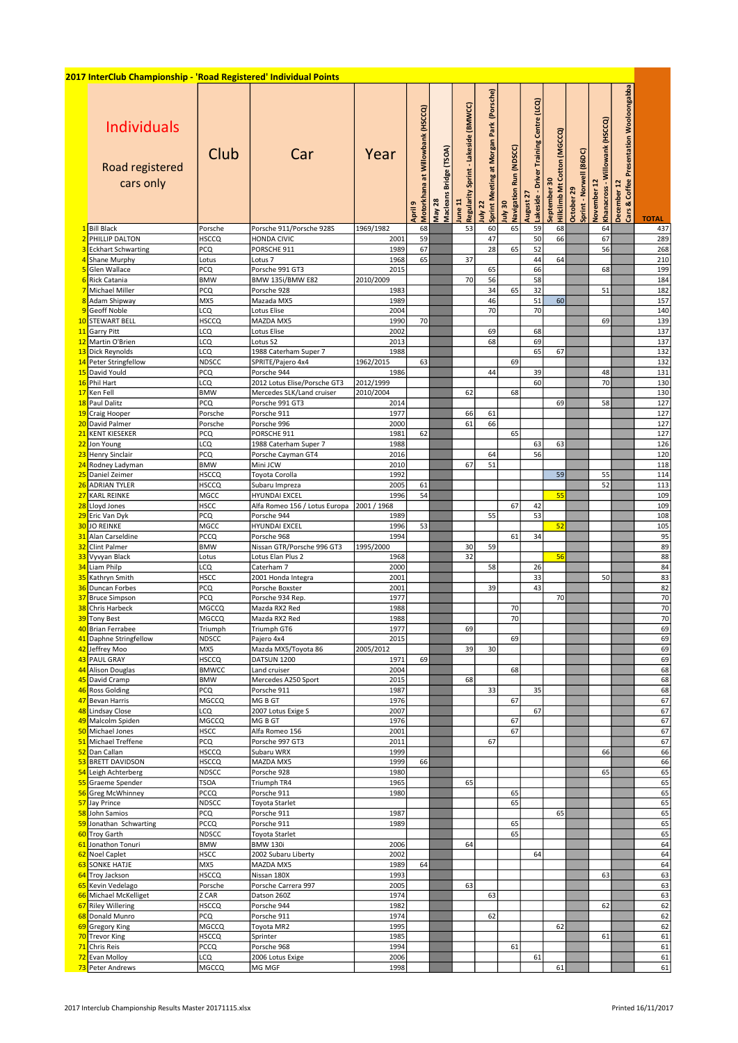## 2017 InterClub Championship - 'Road Registered' Individual Points

|                | <u> )17 InterClub Championship - 'Road Registered' Individual Points</u> |              |                                           |           |                                              |                                  |                                                    |                                                     |                                        |                                                         |                                             |                                            |                                               |                                                              |              |
|----------------|--------------------------------------------------------------------------|--------------|-------------------------------------------|-----------|----------------------------------------------|----------------------------------|----------------------------------------------------|-----------------------------------------------------|----------------------------------------|---------------------------------------------------------|---------------------------------------------|--------------------------------------------|-----------------------------------------------|--------------------------------------------------------------|--------------|
|                | <b>Individuals</b><br>Road registered<br>cars only                       | Club         | Car                                       | Year      | at Willowbank (HSCCQ)<br>April 9<br>Motorkha | Macleans Bridge (TSOA)<br>May 28 | Sprint - Lakeside (BMWCC)<br>Regularity<br>June 11 | July 22<br> Sprint Meeting at Morgan Park (Porsche) | Run (NDSCC)<br>July 30<br>Navigation F | Training Centre (LCQ)<br>Lakeside - Driver<br>August 27 | September 30<br>Hillclimb Mt Cotton (MGCCQ) | (86DC)<br>October 29<br>Sprint - Norwell ( | Khanacross - Willowank (HSCCQ)<br>November 12 | Presentation Wooloongabba<br>& Coffee<br>December 12<br>Cars | <b>TOTAL</b> |
|                | <b>Bill Black</b>                                                        | Porsche      | Porsche 911/Porsche 928S                  | 1969/1982 | 68                                           |                                  | 53                                                 | 60                                                  | 65                                     | 59                                                      | 68                                          |                                            | 64                                            |                                                              | 437          |
|                | PHILLIP DALTON                                                           | <b>HSCCQ</b> | HONDA CIVIC                               | 2001      | 59                                           |                                  |                                                    | 47                                                  |                                        | 50                                                      | 66                                          |                                            | 67                                            |                                                              | 289          |
|                |                                                                          |              |                                           |           |                                              |                                  |                                                    |                                                     |                                        |                                                         |                                             |                                            |                                               |                                                              |              |
|                | <b>Eckhart Schwarting</b>                                                | PCQ          | PORSCHE 911                               | 1989      | 67                                           |                                  |                                                    | 28                                                  | 65                                     | 52                                                      |                                             |                                            | 56                                            |                                                              | 268          |
|                | Shane Murphy                                                             | Lotus        | Lotus <sub>7</sub>                        | 1968      | 65                                           |                                  | 37                                                 |                                                     |                                        | 44                                                      | 64                                          |                                            |                                               |                                                              | 210          |
|                | Glen Wallace                                                             | PCQ          | Porsche 991 GT3                           | 2015      |                                              |                                  |                                                    | 65                                                  |                                        | 66                                                      |                                             |                                            | 68                                            |                                                              | 199          |
|                | Rick Catania                                                             | <b>BMW</b>   | BMW 135i/BMW E82                          | 2010/2009 |                                              |                                  | 70                                                 | 56                                                  |                                        | 58                                                      |                                             |                                            |                                               |                                                              | 184          |
|                | Michael Miller                                                           | <b>PCQ</b>   | Porsche 928                               | 1983      |                                              |                                  |                                                    | 34                                                  | 65                                     | 32                                                      |                                             |                                            | 51                                            |                                                              | 182          |
|                | Adam Shipway                                                             | MX5          | Mazada MX5                                | 1989      |                                              |                                  |                                                    | 46                                                  |                                        | 51                                                      | 60                                          |                                            |                                               |                                                              | 157          |
|                | Geoff Noble                                                              | LCQ          | Lotus Elise                               | 2004      |                                              |                                  |                                                    | 70                                                  |                                        | 70                                                      |                                             |                                            |                                               |                                                              | 140          |
| 10             | <b>STEWART BELL</b>                                                      | HSCCQ        | MAZDA MX5                                 | 1990      | 70                                           |                                  |                                                    |                                                     |                                        |                                                         |                                             |                                            | 69                                            |                                                              | 139          |
| 11             | <b>Garry Pitt</b>                                                        | LCQ          | Lotus Elise                               | 2002      |                                              |                                  |                                                    | 69                                                  |                                        | 68                                                      |                                             |                                            |                                               |                                                              | 137          |
| 12             | Martin O'Brien                                                           | LCQ          | Lotus S2                                  | 2013      |                                              |                                  |                                                    | 68                                                  |                                        | 69                                                      |                                             |                                            |                                               |                                                              | 137          |
| 13             | Dick Reynolds                                                            | LCQ          | 1988 Caterham Super 7                     | 1988      |                                              |                                  |                                                    |                                                     |                                        | 65                                                      | 67                                          |                                            |                                               |                                                              | 132          |
| 14             | <b>Peter Stringfellow</b>                                                | <b>NDSCC</b> | SPRITE/Pajero 4x4                         | 1962/2015 | 63                                           |                                  |                                                    |                                                     | 69                                     |                                                         |                                             |                                            |                                               |                                                              | 132          |
|                |                                                                          |              |                                           | 1986      |                                              |                                  |                                                    |                                                     |                                        |                                                         |                                             |                                            |                                               |                                                              |              |
| 15             | David Yould                                                              | PCQ          | Porsche 944                               |           |                                              |                                  |                                                    | 44                                                  |                                        | 39                                                      |                                             |                                            | 48                                            |                                                              | 131          |
| 16             | Phil Hart                                                                | LCQ          | 2012 Lotus Elise/Porsche GT3              | 2012/1999 |                                              |                                  |                                                    |                                                     |                                        | 60                                                      |                                             |                                            | 70                                            |                                                              | 130          |
| 17             | Ken Fell                                                                 | <b>BMW</b>   | Mercedes SLK/Land cruiser                 | 2010/2004 |                                              |                                  | 62                                                 |                                                     | 68                                     |                                                         |                                             |                                            |                                               |                                                              | 130          |
| 18             | Paul Dalitz                                                              | PCQ          | Porsche 991 GT3                           | 2014      |                                              |                                  |                                                    |                                                     |                                        |                                                         | 69                                          |                                            | 58                                            |                                                              | 127          |
| 19             | Craig Hooper                                                             | Porsche      | Porsche 911                               | 1977      |                                              |                                  | 66                                                 | 61                                                  |                                        |                                                         |                                             |                                            |                                               |                                                              | 127          |
| 2 <sub>c</sub> | David Palmer                                                             | Porsche      | Porsche 996                               | 2000      |                                              |                                  | 61                                                 | 66                                                  |                                        |                                                         |                                             |                                            |                                               |                                                              | 127          |
| 21             | <b>KENT KIESEKER</b>                                                     | PCQ          | PORSCHE 911                               | 1981      | 62                                           |                                  |                                                    |                                                     | 65                                     |                                                         |                                             |                                            |                                               |                                                              | 127          |
| 22             | Jon Young                                                                | LCQ          | 1988 Caterham Super 7                     | 1988      |                                              |                                  |                                                    |                                                     |                                        | 63                                                      | 63                                          |                                            |                                               |                                                              | 126          |
| 23             | Henry Sinclair                                                           | PCQ          | Porsche Cayman GT4                        | 2016      |                                              |                                  |                                                    | 64                                                  |                                        | 56                                                      |                                             |                                            |                                               |                                                              | 120          |
| 24             | Rodney Ladyman                                                           | <b>BMW</b>   | Mini JCW                                  | 2010      |                                              |                                  | 67                                                 | 51                                                  |                                        |                                                         |                                             |                                            |                                               |                                                              | 118          |
| 25             | Daniel Zeimer                                                            | <b>HSCCQ</b> | Toyota Corolla                            | 1992      |                                              |                                  |                                                    |                                                     |                                        |                                                         | 59                                          |                                            | 55                                            |                                                              | 114          |
| 26             | <b>ADRIAN TYLER</b>                                                      | HSCCQ        | Subaru Impreza                            | 2005      | 61                                           |                                  |                                                    |                                                     |                                        |                                                         |                                             |                                            | 52                                            |                                                              | 113          |
| 27             | <b>KARL REINKE</b>                                                       | MGCC         | <b>HYUNDAI EXCEL</b>                      | 1996      | 54                                           |                                  |                                                    |                                                     |                                        |                                                         | 55                                          |                                            |                                               |                                                              | 109          |
| 28             | Lloyd Jones                                                              | HSCC         | Alfa Romeo 156 / Lotus Europa 2001 / 1968 |           |                                              |                                  |                                                    |                                                     | 67                                     | 42                                                      |                                             |                                            |                                               |                                                              | 109          |
| 29             | Eric Van Dyk                                                             | PCQ          | Porsche 944                               | 1989      |                                              |                                  |                                                    | 55                                                  |                                        | 53                                                      |                                             |                                            |                                               |                                                              | 108          |
| 30             | <b>JO REINKE</b>                                                         | MGCC         | <b>HYUNDAI EXCEL</b>                      | 1996      | 53                                           |                                  |                                                    |                                                     |                                        |                                                         | 52                                          |                                            |                                               |                                                              | 105          |
| 31             | Alan Carseldine                                                          | PCCQ         | Porsche 968                               | 1994      |                                              |                                  |                                                    |                                                     | 61                                     | 34                                                      |                                             |                                            |                                               |                                                              | 95           |
| 32             | <b>Clint Palmer</b>                                                      | <b>BMW</b>   | Nissan GTR/Porsche 996 GT3                | 1995/2000 |                                              |                                  | 30                                                 | 59                                                  |                                        |                                                         |                                             |                                            |                                               |                                                              | 89           |
| 33             | Vyvyan Black                                                             | Lotus        | Lotus Elan Plus 2                         | 1968      |                                              |                                  | 32                                                 |                                                     |                                        |                                                         | 56                                          |                                            |                                               |                                                              | 88           |
| 34             | Liam Philp                                                               | LCQ          | Caterham 7                                | 2000      |                                              |                                  |                                                    | 58                                                  |                                        | 26                                                      |                                             |                                            |                                               |                                                              | 84           |
| 35             | Kathryn Smith                                                            | <b>HSCC</b>  | 2001 Honda Integra                        | 2001      |                                              |                                  |                                                    |                                                     |                                        | 33                                                      |                                             |                                            | 50                                            |                                                              | 83           |
|                | Duncan Forbes                                                            | PCQ          |                                           | 2001      |                                              |                                  |                                                    | 39                                                  |                                        | 43                                                      |                                             |                                            |                                               |                                                              | 82           |
| 36<br>37       |                                                                          | PCQ          | Porsche Boxster                           | 1977      |                                              |                                  |                                                    |                                                     |                                        |                                                         | 70                                          |                                            |                                               |                                                              |              |
|                | <b>Bruce Simpson</b>                                                     |              | Porsche 934 Rep.                          |           |                                              |                                  |                                                    |                                                     |                                        |                                                         |                                             |                                            |                                               |                                                              | 70           |
| 38             | Chris Harbeck                                                            | MGCCQ        | Mazda RX2 Red                             | 1988      |                                              |                                  |                                                    |                                                     | 70                                     |                                                         |                                             |                                            |                                               |                                                              | 70           |
| 39             | <b>Tony Best</b>                                                         | MGCCQ        | Mazda RX2 Red                             | 1988      |                                              |                                  |                                                    |                                                     | 70                                     |                                                         |                                             |                                            |                                               |                                                              | 70           |
| 40             | <b>Brian Ferrabee</b>                                                    | Triumph      | Triumph GT6                               | 1977      |                                              |                                  | 69                                                 |                                                     |                                        |                                                         |                                             |                                            |                                               |                                                              | 69           |
| 41             | Daphne Stringfellow                                                      | NDSCC        | Pajero 4x4                                | 2015      |                                              |                                  |                                                    |                                                     | 69                                     |                                                         |                                             |                                            |                                               |                                                              | 69           |
| 42             | Jeffrey Moo                                                              | MX5          | Mazda MX5/Toyota 86                       | 2005/2012 |                                              |                                  | 39                                                 | 30                                                  |                                        |                                                         |                                             |                                            |                                               |                                                              | 69           |
| 43             | <b>PAUL GRAY</b>                                                         | <b>HSCCQ</b> | DATSUN 1200                               | 1971      | 69                                           |                                  |                                                    |                                                     |                                        |                                                         |                                             |                                            |                                               |                                                              | 69           |
| 44             | Alison Douglas                                                           | <b>BMWCC</b> | Land cruiser                              | 2004      |                                              |                                  |                                                    |                                                     | 68                                     |                                                         |                                             |                                            |                                               |                                                              | 68           |
| 45             | David Cramp                                                              | <b>BMW</b>   | Mercedes A250 Sport                       | 2015      |                                              |                                  | 68                                                 |                                                     |                                        |                                                         |                                             |                                            |                                               |                                                              | 68           |
| 46             | <b>Ross Golding</b>                                                      | PCQ          | Porsche 911                               | 1987      |                                              |                                  |                                                    | 33                                                  |                                        | 35                                                      |                                             |                                            |                                               |                                                              | 68           |
| 47             | Bevan Harris                                                             | MGCCQ        | MG B GT                                   | 1976      |                                              |                                  |                                                    |                                                     | 67                                     |                                                         |                                             |                                            |                                               |                                                              | 67           |
| 48             | Lindsay Close                                                            | LCQ          | 2007 Lotus Exige S                        | 2007      |                                              |                                  |                                                    |                                                     |                                        | 67                                                      |                                             |                                            |                                               |                                                              | 67           |
| 49             | Malcolm Spiden                                                           | MGCCQ        | MG B GT                                   | 1976      |                                              |                                  |                                                    |                                                     | 67                                     |                                                         |                                             |                                            |                                               |                                                              | 67           |
| 50             | Michael Jones                                                            | <b>HSCC</b>  | Alfa Romeo 156                            | 2001      |                                              |                                  |                                                    |                                                     | 67                                     |                                                         |                                             |                                            |                                               |                                                              | 67           |
|                | Michael Treffene                                                         | PCQ          | Porsche 997 GT3                           | 2011      |                                              |                                  |                                                    | 67                                                  |                                        |                                                         |                                             |                                            |                                               |                                                              | 67           |
| 52<br>53       | Dan Callan                                                               | HSCCQ        | Subaru WRX                                | 1999      |                                              |                                  |                                                    |                                                     |                                        |                                                         |                                             |                                            | 66                                            |                                                              | 66           |
|                | <b>BRETT DAVIDSON</b>                                                    | <b>HSCCQ</b> | MAZDA MX5                                 | 1999      | 66                                           |                                  |                                                    |                                                     |                                        |                                                         |                                             |                                            |                                               |                                                              | 66           |
| 54             | Leigh Achterberg                                                         | NDSCC        | Porsche 928                               | 1980      |                                              |                                  |                                                    |                                                     |                                        |                                                         |                                             |                                            | 65                                            |                                                              | 65           |
|                | Graeme Spender                                                           | <b>TSOA</b>  | Triumph TR4                               | 1965      |                                              |                                  | 65                                                 |                                                     |                                        |                                                         |                                             |                                            |                                               |                                                              | 65           |
| 55<br>56       | <b>Greg McWhinney</b>                                                    | <b>PCCQ</b>  | Porsche 911                               | 1980      |                                              |                                  |                                                    |                                                     | 65                                     |                                                         |                                             |                                            |                                               |                                                              | 65           |
| 57             | Jay Prince                                                               | NDSCC        | Toyota Starlet                            |           |                                              |                                  |                                                    |                                                     | 65                                     |                                                         |                                             |                                            |                                               |                                                              | 65           |
|                | 58 John Samios                                                           | PCQ          | Porsche 911                               | 1987      |                                              |                                  |                                                    |                                                     |                                        |                                                         | 65                                          |                                            |                                               |                                                              | 65           |
| 59             | Jonathan Schwarting                                                      | <b>PCCQ</b>  | Porsche 911                               | 1989      |                                              |                                  |                                                    |                                                     | 65                                     |                                                         |                                             |                                            |                                               |                                                              | 65           |
| 60             | Troy Garth                                                               | NDSCC        | Toyota Starlet                            |           |                                              |                                  |                                                    |                                                     | 65                                     |                                                         |                                             |                                            |                                               |                                                              | 65           |
| 61             | Jonathon Tonuri                                                          | <b>BMW</b>   | <b>BMW 130i</b>                           | 2006      |                                              |                                  | 64                                                 |                                                     |                                        |                                                         |                                             |                                            |                                               |                                                              | 64           |
| 62             | Noel Caplet                                                              | <b>HSCC</b>  | 2002 Subaru Liberty                       | 2002      |                                              |                                  |                                                    |                                                     |                                        | 64                                                      |                                             |                                            |                                               |                                                              | 64           |
| 63             | <b>SONKE HATJE</b>                                                       | MX5          | MAZDA MX5                                 | 1989      | 64                                           |                                  |                                                    |                                                     |                                        |                                                         |                                             |                                            |                                               |                                                              | 64           |
| 64             | Troy Jackson                                                             | <b>HSCCQ</b> | Nissan 180X                               | 1993      |                                              |                                  |                                                    |                                                     |                                        |                                                         |                                             |                                            | 63                                            |                                                              | 63           |
| 65             | Kevin Vedelago                                                           | Porsche      | Porsche Carrera 997                       | 2005      |                                              |                                  | 63                                                 |                                                     |                                        |                                                         |                                             |                                            |                                               |                                                              | 63           |
| 66             | Michael McKelliget                                                       | Z CAR        | Datson 260Z                               | 1974      |                                              |                                  |                                                    | 63                                                  |                                        |                                                         |                                             |                                            |                                               |                                                              | 63           |
|                | <b>Riley Willering</b>                                                   | <b>HSCCQ</b> | Porsche 944                               | 1982      |                                              |                                  |                                                    |                                                     |                                        |                                                         |                                             |                                            | 62                                            |                                                              | 62           |
| 67             | Donald Munro                                                             | PCQ          | Porsche 911                               | 1974      |                                              |                                  |                                                    | 62                                                  |                                        |                                                         |                                             |                                            |                                               |                                                              | 62           |
| 68             |                                                                          |              |                                           | 1995      |                                              |                                  |                                                    |                                                     |                                        |                                                         |                                             |                                            |                                               |                                                              |              |
| 69             | <b>Gregory King</b>                                                      | MGCCQ        | Toyota MR2                                |           |                                              |                                  |                                                    |                                                     |                                        |                                                         | 62                                          |                                            |                                               |                                                              | 62           |
| 70             | <b>Trevor King</b>                                                       | <b>HSCCQ</b> | Sprinter                                  | 1985      |                                              |                                  |                                                    |                                                     |                                        |                                                         |                                             |                                            | 61                                            |                                                              | 61           |
| 71             | Chris Reis                                                               | <b>PCCQ</b>  | Porsche 968                               | 1994      |                                              |                                  |                                                    |                                                     | 61                                     |                                                         |                                             |                                            |                                               |                                                              | 61           |
| 72             | Evan Molloy                                                              | LCQ          | 2006 Lotus Exige                          | 2006      |                                              |                                  |                                                    |                                                     |                                        | 61                                                      |                                             |                                            |                                               |                                                              | 61           |
|                | 73 Peter Andrews                                                         | MGCCQ        | MG MGF                                    | 1998      |                                              |                                  |                                                    |                                                     |                                        |                                                         | 61                                          |                                            |                                               |                                                              | 61           |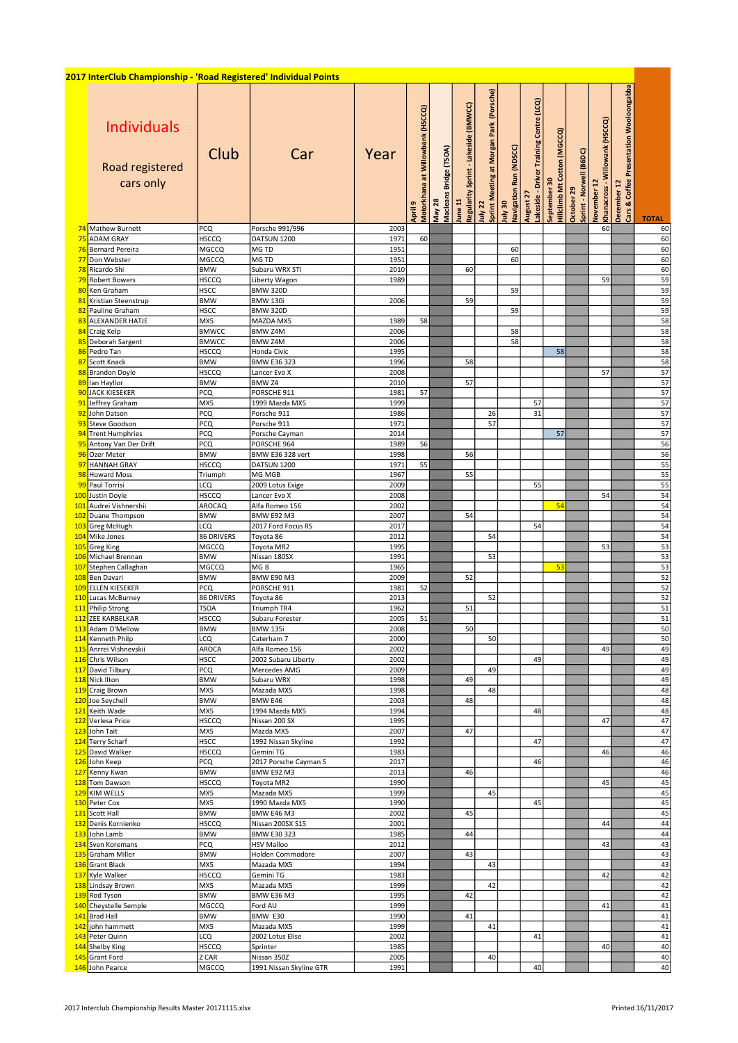## 2017 InterClub Championship - 'Road Registered' Individual Points Individuals Road registered cars only Club Car Year April 9<br>Motorkhana at Willowbank (HSCCQ)<br>May 28<br>May 28<br>Segularity Sprint - Lakeside (BMWCC)<br>July 22<br>Sprint Meeting at Morgan Park (Porsche)<br>August 27<br>August 20<br>Septit - Norwell (86DC)<br>December 12<br>November 12<br>December 12<br>De 74 Mathew Burnett PCQ Porsche 991/996 2003 60 60 <mark>HSCCQ DATSUN 1200 1971 60 | | | | | | | 60</mark> 76 Bernard Pereira MGCCQ MG TD 1951 60 60 77 Don Webster MGCCQ MG TD 1951 60 60 <mark>8 Ricardo Shi BMW Subaru WRX STI 2010 60</mark> 60 1 2010 60 60 60 60 60 79 Robert Bowers HSCCQ Liberty Wagon 1989 59 59 80 Ken Graham HSCC BMW 320D 59 59 81 Kristian Steenstrup BMW BMW 130i 2006 59 59 82 Pauline Graham HSCC BMW 320D 59 59 <mark>83 </mark>ALEXANDER HATJE MX5 MAZDA MX5 1989 58 1 1 1 1 1 1 1 58 84 Craig Kelp BMWCC BMW Z4M 2006 58 58 <mark>85 </mark>Deborah Sargent BMWCC BMW Z4M 2006 2006 58 58 Fig. 1 58 86 Pedro Tan HSCCQ Honda Civic 1995 58 58 87 Scott Knack BMW BMW E36 323 1996 58 58 88 Brandon Doyle HSCCQ Lancer Evo X 2008 57 57 89 Ian Hayllor BMW BMW Z4 2010 57 57 90 JACK KIESEKER PCQ PORSCHE 911 1981 57 57 91 Jeffrey Graham MX5 1999 Mazda MX5 1999 57 57 92 John Datson PCQ Porsche 911 1986 26 31 57 93 Steve Goodson PCQ Porsche 911 1971 57 57 94 Trent Humphries PCQ Porsche Cayman 2014 57 57 95 Antony Van Der Drift PCQ PORSCHE 964 1989 56 56 96 Ozer Meter BMW BMW E36 328 vert 1998 56 56 97 HANNAH GRAY HSCCQ DATSUN 1200 1971 55 55 98 Howard Moss Triumph MG MGB 1967 55 55 99 Paul Torrisi LCQ 2009 Lotus Exige 2009 55 55 100 Justin Doyle HSCCQ Lancer Evo X 2008 54 54 101 Audrei Vishnershii AROCAQ Alfa Romeo 156 2002 54 54 <mark>102</mark> Duane Thompson BMW BMW E92 M3 2007 54 54 1<mark>03</mark> Greg McHugh LCQ 2017 Ford Focus RS 2017 2017 2017 2017 54 54 54 54 104 Mike Jones 36 DRIVERS Toyota 86 2012 2012 54 54 54 54 54 54 54 54 54 54 105 Greg King MGCCQ Toyota MR2 1995 1995 53 53 53 53 106 Michael Brennan BMW Nissan 180SX 1991 53 53 107 Stephen Callaghan MGCCQ MG B 1965 53 53 108 Ben Davari BMW BMW E90 M3 2009 52 52 109 ELLEN KIESEKER PCQ PORSCHE 911 1981 52<br>110 Lucas McBurney 86 DRIVERS Toyota 86 2013 2013 52 110 Lucas McBurney 86 DRIVERS Toyota 86 2013 52 52 111 Philip Strong TSOA Triumph TR4 1962 51 51 112 ZEE KARBELKAR HSCCQ Subaru Forester 2005 51 51 113 Adam D'Mellow BMW BMW 135i 2008 50 50 <mark>114</mark> Kenneth Philp LCQ Caterham 7 2000 60 50 50 50 50 50 50 114 Kenneth Philp LCQ Caterham 7 2000 50<br>115 Anrrei Vishnevskii AROCA Alfa Romeo 156 2002<br>116 Chris Wilson HSCC 2002 Subaru Liberty 2002 49 49 49 49 116 Chris Wilson HSCC 2002 Subaru Liberty 2002 49 49 1<mark>17</mark> David Tilbury PCQ Mercedes AMG 2009 49 49 49 49 49 49 49 49 1<mark>18</mark> Nick Ilton BMW Subaru WRX 1998 49 49 49 49 49 49 49 49 119 Craig Brown MX5 Mazada MX5 1998 18 48 48 48 48 120 Joe Seychell BMW BMW E46 2003 48 48 121 Keith Wade MX5 1994 Mazda MX5 1994 48 48

| 121 Keith Wade        | IMX5         | L1994 Mazda Mix5        | 19941 |  |    |    | 48 |  |    | 48 |
|-----------------------|--------------|-------------------------|-------|--|----|----|----|--|----|----|
| 122 Verlesa Price     | <b>HSCCO</b> | Nissan 200 SX           | 1995  |  |    |    |    |  | 47 | 47 |
| 123 John Tait         | MX5          | Mazda MX5               | 2007  |  | 47 |    |    |  |    | 47 |
| 124 Terry Scharf      | <b>HSCC</b>  | 1992 Nissan Skyline     | 1992  |  |    |    | 47 |  |    | 47 |
| 125 David Walker      | <b>HSCCQ</b> | Gemini TG               | 1983  |  |    |    |    |  | 46 | 46 |
| 126 John Keep         | <b>PCQ</b>   | 2017 Porsche Cayman S   | 2017  |  |    |    | 46 |  |    | 46 |
| 127 Kenny Kwan        | <b>BMW</b>   | <b>BMW E92 M3</b>       | 2013  |  | 46 |    |    |  |    | 46 |
| 128 Tom Dawson        | <b>HSCCQ</b> | Tovota MR2              | 1990  |  |    |    |    |  | 45 | 45 |
| 129 KIM WELLS         | lmx5         | Mazada MX5              | 1999  |  |    | 45 |    |  |    | 45 |
| 130 Peter Cox         | MX5          | 1990 Mazda MX5          | 1990  |  |    |    | 45 |  |    | 45 |
| 131 Scott Hall        | <b>BMW</b>   | <b>BMW E46 M3</b>       | 2002  |  | 45 |    |    |  |    | 45 |
| 132 Denis Kornienko   | <b>HSCCQ</b> | Nissan 200SX S15        | 2001  |  |    |    |    |  | 44 | 44 |
| 133 John Lamb         | <b>BMW</b>   | <b>BMW E30 323</b>      | 1985  |  | 44 |    |    |  |    | 44 |
| 134 Sven Koremans     | <b>PCQ</b>   | <b>HSV Malloo</b>       | 2012  |  |    |    |    |  | 43 | 43 |
| 135 Graham Miller     | Івмw         | Holden Commodore        | 2007  |  | 43 |    |    |  |    | 43 |
| 136 Grant Black       | lmx5         | Mazada MX5              | 1994  |  |    | 43 |    |  |    | 43 |
| 137 Kyle Walker       | <b>HSCCQ</b> | Gemini TG               | 1983  |  |    |    |    |  | 42 | 42 |
| 138 Lindsay Brown     | lmx5         | Mazada MX5              | 1999  |  |    | 42 |    |  |    | 42 |
| 139 Rod Tyson         | Івмw         | BMW E36 M3              | 1995  |  | 42 |    |    |  |    | 42 |
| 140 Cheystelle Semple | MGCCQ        | Ford AU                 | 1999  |  |    |    |    |  | 41 | 41 |
| 141 Brad Hall         | Івмw         | BMW E30                 | 1990  |  | 41 |    |    |  |    | 41 |
| 142 john hammett      | MX5          | Mazada MX5              | 1999  |  |    | 41 |    |  |    | 41 |
| 143 Peter Quinn       | LCQ          | 2002 Lotus Elise        | 2002  |  |    |    | 41 |  |    | 41 |
| 144 Shelby King       | <b>HSCCQ</b> | Sprinter                | 1985  |  |    |    |    |  | 40 | 40 |
| 145 Grant Ford        | IZ CAR       | Nissan 350Z             | 2005  |  |    | 40 |    |  |    | 40 |
| 146 John Pearce       | IMGCCQ       | 1991 Nissan Skyline GTR | 1991  |  |    |    | 40 |  |    | 40 |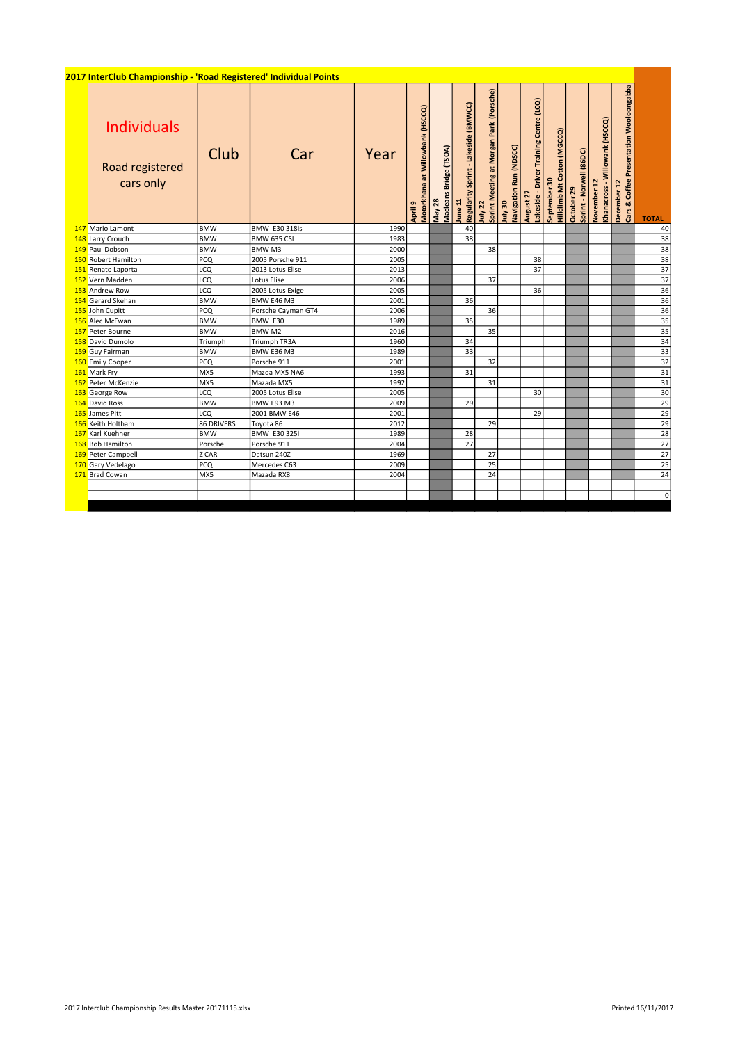| 2017 InterClub Championship - 'Road Registered' Individual Points |            |                      |      |                                                |                                  |                                                 |                                                       |                                          |                                                      |                                             |                                       |                                               |                                                        |                 |
|-------------------------------------------------------------------|------------|----------------------|------|------------------------------------------------|----------------------------------|-------------------------------------------------|-------------------------------------------------------|------------------------------------------|------------------------------------------------------|---------------------------------------------|---------------------------------------|-----------------------------------------------|--------------------------------------------------------|-----------------|
| <b>Individuals</b><br>Road registered<br>cars only                | Club       | Car                  | Year | at Willowbank (HSCCQ)<br>Motorkhana<br>April 9 | May 28<br>Macleans Bridge (TSOA) | Regularity Sprint - Lakeside (BMWCC)<br>June 11 | (Porsche)<br>Sprint Meeting at Morgan Park<br>July 22 | Navigation Run (NDSCC)<br><b>OE</b> VINT | August 27<br>Lakeside - Driver Training Centre (LCQ) | Hillclimb Mt Cotton (MGCCQ)<br>September 30 | Sprint - Norwell (86DC)<br>October 29 | Khanacross - Willowank (HSCCQ)<br>November 12 | December 12<br>Cars & Coffee Presentation Wooloongabba | <b>TOTAL</b>    |
| 147 Mario Lamont                                                  | <b>BMW</b> | <b>BMW E30 318is</b> | 1990 |                                                |                                  | 40                                              |                                                       |                                          |                                                      |                                             |                                       |                                               |                                                        | 40              |
| 148 Larry Crouch                                                  | <b>BMW</b> | BMW 635 CSI          | 1983 |                                                |                                  | 38                                              |                                                       |                                          |                                                      |                                             |                                       |                                               |                                                        | 38              |
| 149 Paul Dobson                                                   | <b>BMW</b> | BMW <sub>M3</sub>    | 2000 |                                                |                                  |                                                 | 38                                                    |                                          |                                                      |                                             |                                       |                                               |                                                        | 38              |
| 150 Robert Hamilton                                               | PCQ        | 2005 Porsche 911     | 2005 |                                                |                                  |                                                 |                                                       |                                          | 38                                                   |                                             |                                       |                                               |                                                        | 38              |
| 151 Renato Laporta                                                | LCQ        | 2013 Lotus Elise     | 2013 |                                                |                                  |                                                 |                                                       |                                          | 37                                                   |                                             |                                       |                                               |                                                        | $\overline{37}$ |
| 152 Vern Madden                                                   | LCQ        | Lotus Elise          | 2006 |                                                |                                  |                                                 | 37                                                    |                                          |                                                      |                                             |                                       |                                               |                                                        | $\overline{37}$ |
| 153 Andrew Row                                                    | LCQ        | 2005 Lotus Exige     | 2005 |                                                |                                  |                                                 |                                                       |                                          | 36                                                   |                                             |                                       |                                               |                                                        | 36              |
| 154 Gerard Skehan                                                 | <b>BMW</b> | BMW E46 M3           | 2001 |                                                |                                  | 36                                              |                                                       |                                          |                                                      |                                             |                                       |                                               |                                                        | 36              |
| 155 John Cupitt                                                   | PCQ        | Porsche Cayman GT4   | 2006 |                                                |                                  |                                                 | 36                                                    |                                          |                                                      |                                             |                                       |                                               |                                                        | 36              |
| 156 Alec McEwan                                                   | <b>BMW</b> | BMW E30              | 1989 |                                                |                                  | 35                                              |                                                       |                                          |                                                      |                                             |                                       |                                               |                                                        | 35              |
| 157 Peter Bourne                                                  | <b>BMW</b> | BMW M <sub>2</sub>   | 2016 |                                                |                                  |                                                 | 35                                                    |                                          |                                                      |                                             |                                       |                                               |                                                        | 35              |
| 158 David Dumolo                                                  | Triumph    | Triumph TR3A         | 1960 |                                                |                                  | 34                                              |                                                       |                                          |                                                      |                                             |                                       |                                               |                                                        | 34              |
| 159 Guy Fairman                                                   | <b>BMW</b> | BMW E36 M3           | 1989 |                                                |                                  | 33                                              |                                                       |                                          |                                                      |                                             |                                       |                                               |                                                        | 33              |
| 160 Emily Cooper                                                  | PCQ        | Porsche 911          | 2001 |                                                |                                  |                                                 | 32                                                    |                                          |                                                      |                                             |                                       |                                               |                                                        | 32              |
| 161 Mark Fry                                                      | MX5        | Mazda MX5 NA6        | 1993 |                                                |                                  | 31                                              |                                                       |                                          |                                                      |                                             |                                       |                                               |                                                        | $\overline{31}$ |
| 162 Peter McKenzie                                                | MX5        | Mazada MX5           | 1992 |                                                |                                  |                                                 | 31                                                    |                                          |                                                      |                                             |                                       |                                               |                                                        | $\overline{31}$ |
| 163 George Row                                                    | LCQ        | 2005 Lotus Elise     | 2005 |                                                |                                  |                                                 |                                                       |                                          | 30                                                   |                                             |                                       |                                               |                                                        | 30              |
| 164 David Ross                                                    | <b>BMW</b> | BMW E93 M3           | 2009 |                                                |                                  | 29                                              |                                                       |                                          |                                                      |                                             |                                       |                                               |                                                        | 29              |
| 165 James Pitt                                                    | LCQ        | 2001 BMW E46         | 2001 |                                                |                                  |                                                 |                                                       |                                          | 29                                                   |                                             |                                       |                                               |                                                        | 29              |
| 166 Keith Holtham                                                 | 86 DRIVERS | Toyota 86            | 2012 |                                                |                                  |                                                 | 29                                                    |                                          |                                                      |                                             |                                       |                                               |                                                        | 29              |
| 167 Karl Kuehner                                                  | <b>BMW</b> | <b>BMW E30 325i</b>  | 1989 |                                                |                                  | 28                                              |                                                       |                                          |                                                      |                                             |                                       |                                               |                                                        | 28              |
| 168 Bob Hamilton                                                  | Porsche    | Porsche 911          | 2004 |                                                |                                  | 27                                              |                                                       |                                          |                                                      |                                             |                                       |                                               |                                                        | 27              |
| 169 Peter Campbell                                                | Z CAR      | Datsun 240Z          | 1969 |                                                |                                  |                                                 | 27                                                    |                                          |                                                      |                                             |                                       |                                               |                                                        | $\overline{27}$ |
| 170 Gary Vedelago                                                 | PCQ        | Mercedes C63         | 2009 |                                                |                                  |                                                 | 25                                                    |                                          |                                                      |                                             |                                       |                                               |                                                        | 25              |
| 171 Brad Cowan                                                    | MX5        | Mazada RX8           | 2004 |                                                |                                  |                                                 | 24                                                    |                                          |                                                      |                                             |                                       |                                               |                                                        | 24              |
|                                                                   |            |                      |      |                                                |                                  |                                                 |                                                       |                                          |                                                      |                                             |                                       |                                               |                                                        |                 |
|                                                                   |            |                      |      |                                                |                                  |                                                 |                                                       |                                          |                                                      |                                             |                                       |                                               |                                                        |                 |